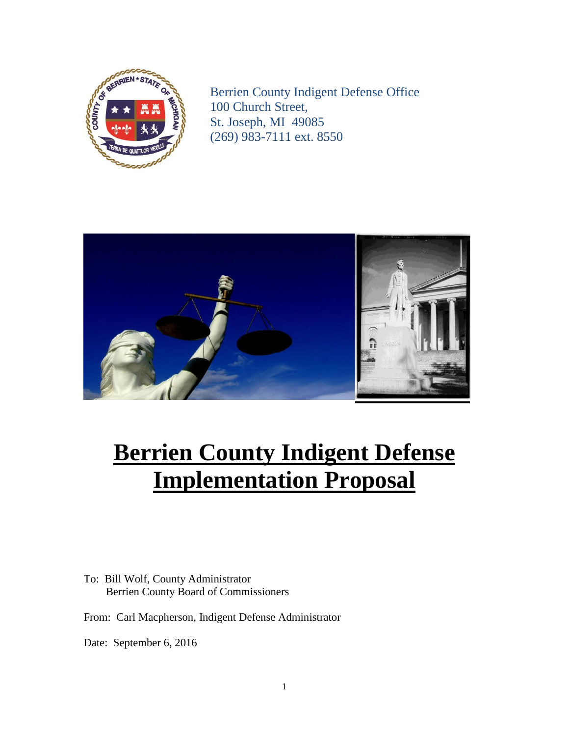

Berrien County Indigent Defense Office 100 Church Street, St. Joseph, MI 49085 (269) 983-7111 ext. 8550



# **Berrien County Indigent Defense Implementation Proposal**

To: Bill Wolf, County Administrator Berrien County Board of Commissioners

From: Carl Macpherson, Indigent Defense Administrator

Date: September 6, 2016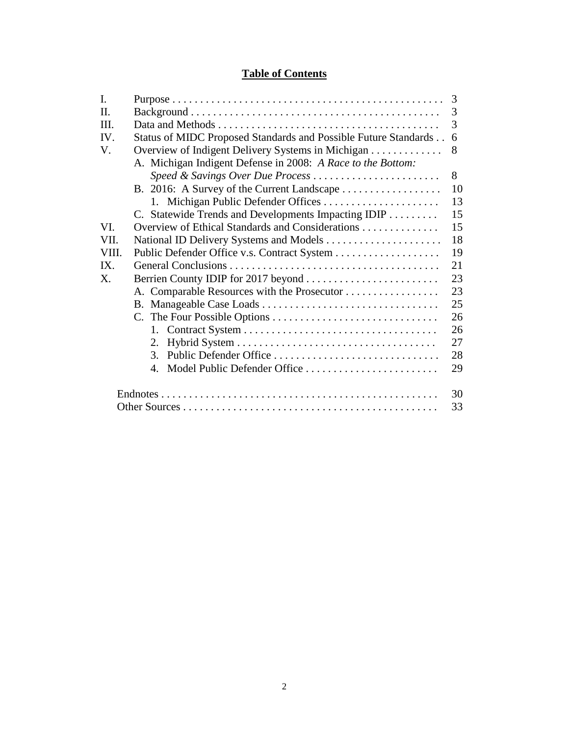# **Table of Contents**

| I.          |                                                                 | 3  |
|-------------|-----------------------------------------------------------------|----|
| Π.          |                                                                 | 3  |
| III.        |                                                                 | 3  |
| IV.         | Status of MIDC Proposed Standards and Possible Future Standards | 6  |
| V.          | Overview of Indigent Delivery Systems in Michigan               | 8  |
|             | A. Michigan Indigent Defense in 2008: A Race to the Bottom:     |    |
|             | Speed & Savings Over Due Process                                | 8  |
|             |                                                                 | 10 |
|             | 1. Michigan Public Defender Offices                             | 13 |
|             | C. Statewide Trends and Developments Impacting IDIP             | 15 |
| VI.         | Overview of Ethical Standards and Considerations                | 15 |
| VII.        |                                                                 | 18 |
| VIII.       |                                                                 | 19 |
| IX.         |                                                                 | 21 |
| $X_{\cdot}$ |                                                                 | 23 |
|             | A. Comparable Resources with the Prosecutor                     | 23 |
|             |                                                                 | 25 |
|             |                                                                 | 26 |
|             |                                                                 | 26 |
|             | 2.                                                              | 27 |
|             | Public Defender Office<br>$\mathcal{E}$                         | 28 |
|             | Model Public Defender Office<br>4 <sup>1</sup>                  | 29 |
|             |                                                                 | 30 |
|             |                                                                 | 33 |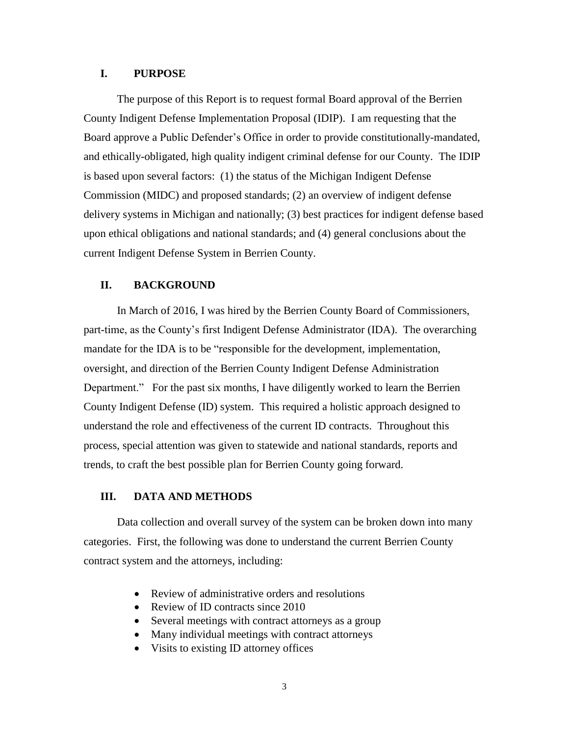### **I. PURPOSE**

The purpose of this Report is to request formal Board approval of the Berrien County Indigent Defense Implementation Proposal (IDIP). I am requesting that the Board approve a Public Defender's Office in order to provide constitutionally-mandated, and ethically-obligated, high quality indigent criminal defense for our County. The IDIP is based upon several factors: (1) the status of the Michigan Indigent Defense Commission (MIDC) and proposed standards; (2) an overview of indigent defense delivery systems in Michigan and nationally; (3) best practices for indigent defense based upon ethical obligations and national standards; and (4) general conclusions about the current Indigent Defense System in Berrien County.

### **II. BACKGROUND**

In March of 2016, I was hired by the Berrien County Board of Commissioners, part-time, as the County's first Indigent Defense Administrator (IDA). The overarching mandate for the IDA is to be "responsible for the development, implementation, oversight, and direction of the Berrien County Indigent Defense Administration Department." For the past six months, I have diligently worked to learn the Berrien County Indigent Defense (ID) system. This required a holistic approach designed to understand the role and effectiveness of the current ID contracts. Throughout this process, special attention was given to statewide and national standards, reports and trends, to craft the best possible plan for Berrien County going forward.

### **III. DATA AND METHODS**

Data collection and overall survey of the system can be broken down into many categories. First, the following was done to understand the current Berrien County contract system and the attorneys, including:

- Review of administrative orders and resolutions
- Review of ID contracts since 2010
- Several meetings with contract attorneys as a group
- Many individual meetings with contract attorneys
- Visits to existing ID attorney offices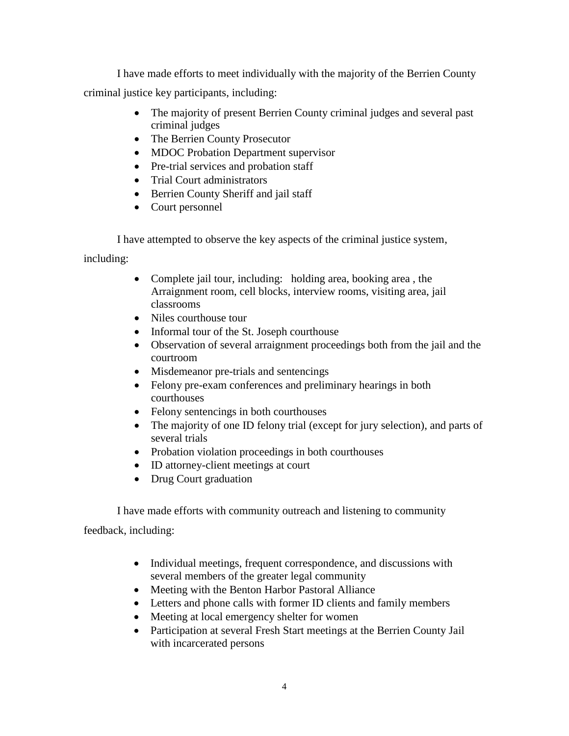I have made efforts to meet individually with the majority of the Berrien County criminal justice key participants, including:

- The majority of present Berrien County criminal judges and several past criminal judges
- The Berrien County Prosecutor
- MDOC Probation Department supervisor
- Pre-trial services and probation staff
- Trial Court administrators
- Berrien County Sheriff and jail staff
- Court personnel

I have attempted to observe the key aspects of the criminal justice system,

including:

- Complete jail tour, including: holding area, booking area, the Arraignment room, cell blocks, interview rooms, visiting area, jail classrooms
- Niles courthouse tour
- Informal tour of the St. Joseph courthouse
- Observation of several arraignment proceedings both from the jail and the courtroom
- Misdemeanor pre-trials and sentencings
- Felony pre-exam conferences and preliminary hearings in both courthouses
- Felony sentencings in both courthouses
- The majority of one ID felony trial (except for jury selection), and parts of several trials
- Probation violation proceedings in both courthouses
- ID attorney-client meetings at court
- Drug Court graduation

I have made efforts with community outreach and listening to community

feedback, including:

- Individual meetings, frequent correspondence, and discussions with several members of the greater legal community
- Meeting with the Benton Harbor Pastoral Alliance
- Letters and phone calls with former ID clients and family members
- Meeting at local emergency shelter for women
- Participation at several Fresh Start meetings at the Berrien County Jail with incarcerated persons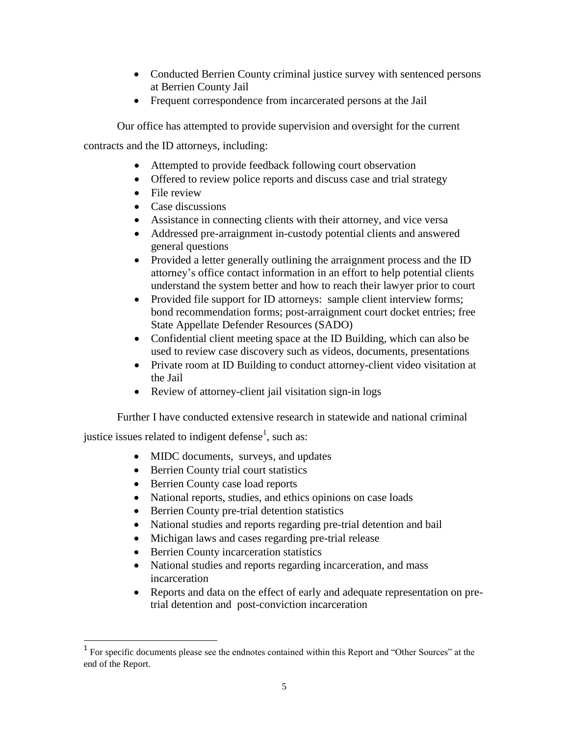- Conducted Berrien County criminal justice survey with sentenced persons at Berrien County Jail
- Frequent correspondence from incarcerated persons at the Jail

Our office has attempted to provide supervision and oversight for the current

contracts and the ID attorneys, including:

- Attempted to provide feedback following court observation
- Offered to review police reports and discuss case and trial strategy
- File review
- Case discussions
- Assistance in connecting clients with their attorney, and vice versa
- Addressed pre-arraignment in-custody potential clients and answered general questions
- Provided a letter generally outlining the arraignment process and the ID attorney's office contact information in an effort to help potential clients understand the system better and how to reach their lawyer prior to court
- Provided file support for ID attorneys: sample client interview forms; bond recommendation forms; post-arraignment court docket entries; free State Appellate Defender Resources (SADO)
- Confidential client meeting space at the ID Building, which can also be used to review case discovery such as videos, documents, presentations
- Private room at ID Building to conduct attorney-client video visitation at the Jail
- Review of attorney-client jail visitation sign-in logs

Further I have conducted extensive research in statewide and national criminal

justice issues related to indigent defense<sup>1</sup>, such as:

l

- MIDC documents, surveys, and updates
- Berrien County trial court statistics
- Berrien County case load reports
- National reports, studies, and ethics opinions on case loads
- Berrien County pre-trial detention statistics
- National studies and reports regarding pre-trial detention and bail
- Michigan laws and cases regarding pre-trial release
- Berrien County incarceration statistics
- National studies and reports regarding incarceration, and mass incarceration
- Reports and data on the effect of early and adequate representation on pretrial detention and post-conviction incarceration

<sup>&</sup>lt;sup>1</sup> For specific documents please see the endnotes contained within this Report and "Other Sources" at the end of the Report.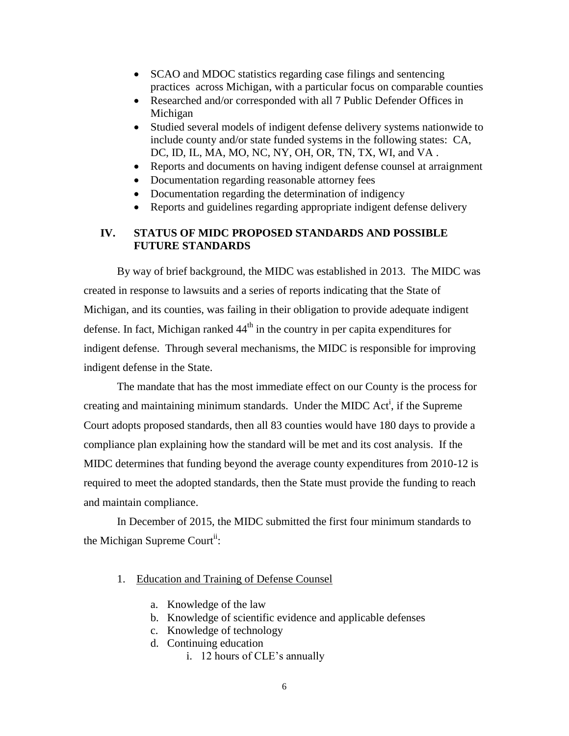- SCAO and MDOC statistics regarding case filings and sentencing practices across Michigan, with a particular focus on comparable counties
- Researched and/or corresponded with all 7 Public Defender Offices in Michigan
- Studied several models of indigent defense delivery systems nationwide to include county and/or state funded systems in the following states: CA, DC, ID, IL, MA, MO, NC, NY, OH, OR, TN, TX, WI, and VA .
- Reports and documents on having indigent defense counsel at arraignment
- Documentation regarding reasonable attorney fees
- Documentation regarding the determination of indigency
- Reports and guidelines regarding appropriate indigent defense delivery

## **IV. STATUS OF MIDC PROPOSED STANDARDS AND POSSIBLE FUTURE STANDARDS**

By way of brief background, the MIDC was established in 2013. The MIDC was created in response to lawsuits and a series of reports indicating that the State of Michigan, and its counties, was failing in their obligation to provide adequate indigent defense. In fact, Michigan ranked  $44<sup>th</sup>$  in the country in per capita expenditures for indigent defense. Through several mechanisms, the MIDC is responsible for improving indigent defense in the State.

The mandate that has the most immediate effect on our County is the process for creating and maintaining minimum standards. Under the MIDC Act<sup>i</sup>, if the Supreme Court adopts proposed standards, then all 83 counties would have 180 days to provide a compliance plan explaining how the standard will be met and its cost analysis. If the MIDC determines that funding beyond the average county expenditures from 2010-12 is required to meet the adopted standards, then the State must provide the funding to reach and maintain compliance.

In December of 2015, the MIDC submitted the first four minimum standards to the Michigan Supreme Court<sup>ii</sup>:

- 1. Education and Training of Defense Counsel
	- a. Knowledge of the law
	- b. Knowledge of scientific evidence and applicable defenses
	- c. Knowledge of technology
	- d. Continuing education
		- i. 12 hours of CLE's annually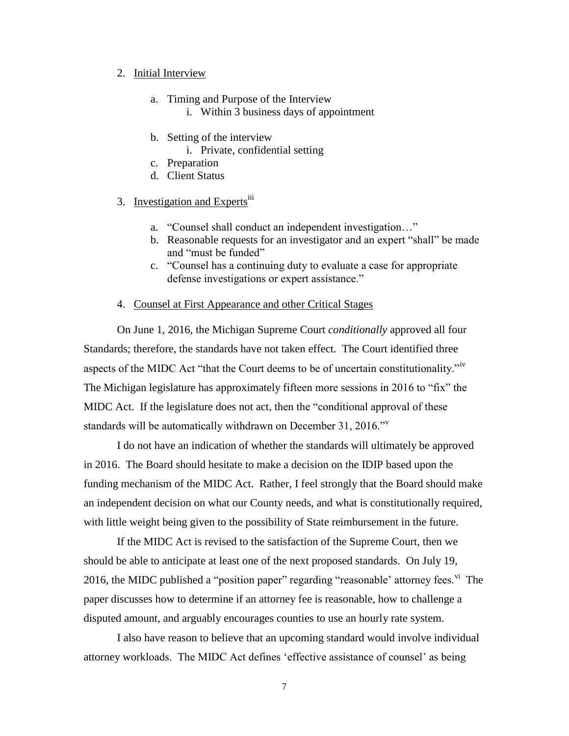#### 2. Initial Interview

- a. Timing and Purpose of the Interview i. Within 3 business days of appointment
	-
- b. Setting of the interview
	- i. Private, confidential setting
- c. Preparation
- d. Client Status

# 3. Investigation and Experts<sup>iii</sup>

- a. "Counsel shall conduct an independent investigation…"
- b. Reasonable requests for an investigator and an expert "shall" be made and "must be funded"
- c. "Counsel has a continuing duty to evaluate a case for appropriate defense investigations or expert assistance."

#### 4. Counsel at First Appearance and other Critical Stages

On June 1, 2016, the Michigan Supreme Court *conditionally* approved all four Standards; therefore, the standards have not taken effect. The Court identified three aspects of the MIDC Act "that the Court deems to be of uncertain constitutionality."<sup>iv</sup> The Michigan legislature has approximately fifteen more sessions in 2016 to "fix" the MIDC Act. If the legislature does not act, then the "conditional approval of these standards will be automatically withdrawn on December 31, 2016."

I do not have an indication of whether the standards will ultimately be approved in 2016. The Board should hesitate to make a decision on the IDIP based upon the funding mechanism of the MIDC Act. Rather, I feel strongly that the Board should make an independent decision on what our County needs, and what is constitutionally required, with little weight being given to the possibility of State reimbursement in the future.

If the MIDC Act is revised to the satisfaction of the Supreme Court, then we should be able to anticipate at least one of the next proposed standards. On July 19, 2016, the MIDC published a "position paper" regarding "reasonable' attorney fees.  $\overline{v}$ " The paper discusses how to determine if an attorney fee is reasonable, how to challenge a disputed amount, and arguably encourages counties to use an hourly rate system.

I also have reason to believe that an upcoming standard would involve individual attorney workloads. The MIDC Act defines 'effective assistance of counsel' as being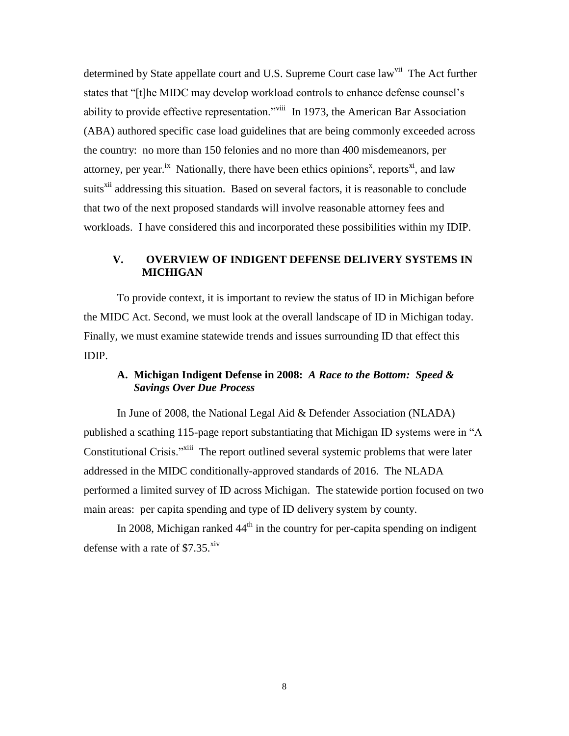determined by State appellate court and U.S. Supreme Court case law<sup>vii</sup> The Act further states that "[t]he MIDC may develop workload controls to enhance defense counsel's ability to provide effective representation."<sup>viii</sup> In 1973, the American Bar Association (ABA) authored specific case load guidelines that are being commonly exceeded across the country: no more than 150 felonies and no more than 400 misdemeanors, per attorney, per year.<sup>ix</sup> Nationally, there have been ethics opinions<sup>x</sup>, reports<sup>xi</sup>, and law suits<sup>xii</sup> addressing this situation. Based on several factors, it is reasonable to conclude that two of the next proposed standards will involve reasonable attorney fees and workloads. I have considered this and incorporated these possibilities within my IDIP.

## **V. OVERVIEW OF INDIGENT DEFENSE DELIVERY SYSTEMS IN MICHIGAN**

To provide context, it is important to review the status of ID in Michigan before the MIDC Act. Second, we must look at the overall landscape of ID in Michigan today. Finally, we must examine statewide trends and issues surrounding ID that effect this IDIP.

# **A. Michigan Indigent Defense in 2008:** *A Race to the Bottom: Speed & Savings Over Due Process*

In June of 2008, the National Legal Aid & Defender Association (NLADA) published a scathing 115-page report substantiating that Michigan ID systems were in "A Constitutional Crisis."<sup>Xiii</sup> The report outlined several systemic problems that were later addressed in the MIDC conditionally-approved standards of 2016. The NLADA performed a limited survey of ID across Michigan. The statewide portion focused on two main areas: per capita spending and type of ID delivery system by county.

In 2008, Michigan ranked  $44<sup>th</sup>$  in the country for per-capita spending on indigent defense with a rate of  $$7.35<sup>xiv</sup>$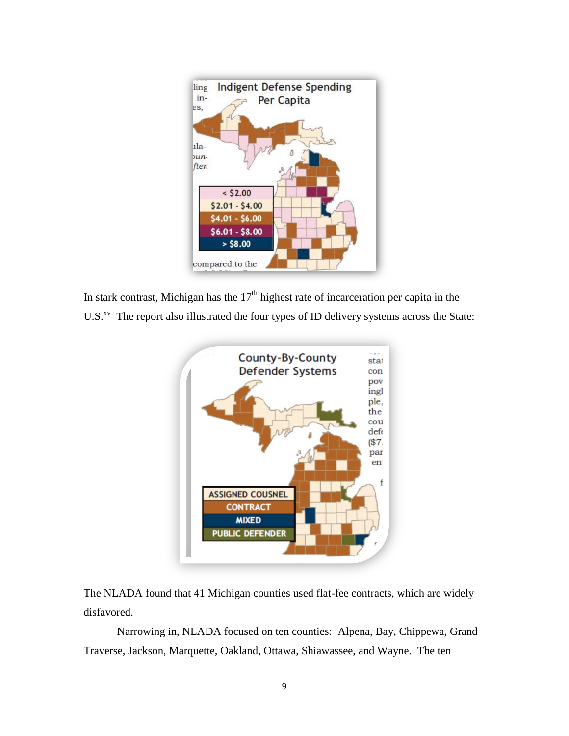

In stark contrast, Michigan has the  $17<sup>th</sup>$  highest rate of incarceration per capita in the U.S. $X^V$  The report also illustrated the four types of ID delivery systems across the State:



The NLADA found that 41 Michigan counties used flat-fee contracts, which are widely disfavored.

Narrowing in, NLADA focused on ten counties: Alpena, Bay, Chippewa, Grand Traverse, Jackson, Marquette, Oakland, Ottawa, Shiawassee, and Wayne. The ten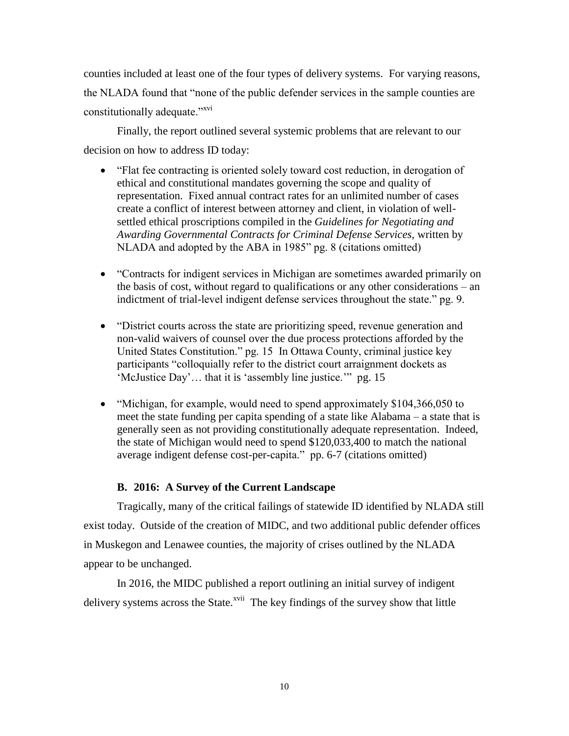counties included at least one of the four types of delivery systems. For varying reasons, the NLADA found that "none of the public defender services in the sample counties are constitutionally adequate."<sup>xvi</sup>

Finally, the report outlined several systemic problems that are relevant to our decision on how to address ID today:

- "Flat fee contracting is oriented solely toward cost reduction, in derogation of ethical and constitutional mandates governing the scope and quality of representation. Fixed annual contract rates for an unlimited number of cases create a conflict of interest between attorney and client, in violation of wellsettled ethical proscriptions compiled in the *Guidelines for Negotiating and Awarding Governmental Contracts for Criminal Defense Services,* written by NLADA and adopted by the ABA in 1985" pg. 8 (citations omitted)
- "Contracts for indigent services in Michigan are sometimes awarded primarily on the basis of cost, without regard to qualifications or any other considerations – an indictment of trial-level indigent defense services throughout the state." pg. 9.
- "District courts across the state are prioritizing speed, revenue generation and non-valid waivers of counsel over the due process protections afforded by the United States Constitution." pg. 15 In Ottawa County, criminal justice key participants "colloquially refer to the district court arraignment dockets as 'McJustice Day'… that it is 'assembly line justice.'" pg. 15
- "Michigan, for example, would need to spend approximately \$104,366,050 to meet the state funding per capita spending of a state like Alabama – a state that is generally seen as not providing constitutionally adequate representation. Indeed, the state of Michigan would need to spend \$120,033,400 to match the national average indigent defense cost-per-capita." pp. 6-7 (citations omitted)

## **B. 2016: A Survey of the Current Landscape**

Tragically, many of the critical failings of statewide ID identified by NLADA still exist today. Outside of the creation of MIDC, and two additional public defender offices in Muskegon and Lenawee counties, the majority of crises outlined by the NLADA appear to be unchanged.

In 2016, the MIDC published a report outlining an initial survey of indigent delivery systems across the State.<sup>xvii</sup> The key findings of the survey show that little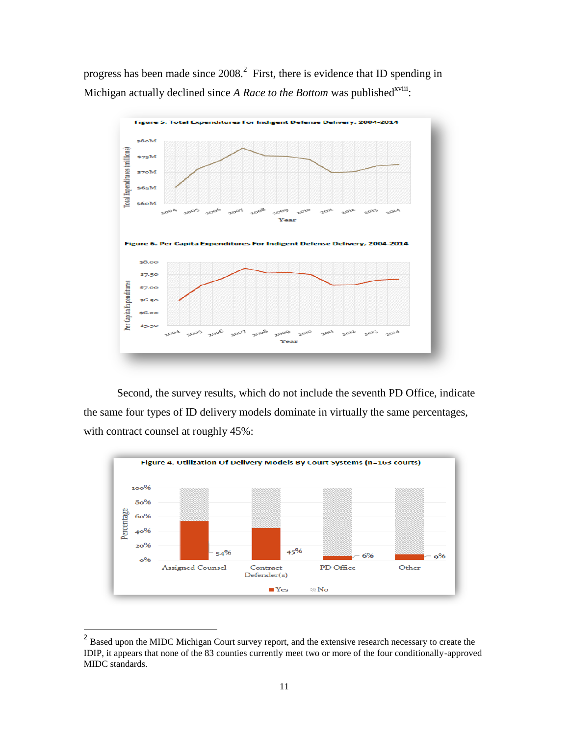progress has been made since  $2008<sup>2</sup>$  First, there is evidence that ID spending in Michigan actually declined since *A Race to the Bottom* was published<sup>xviii</sup>:



Second, the survey results, which do not include the seventh PD Office, indicate the same four types of ID delivery models dominate in virtually the same percentages, with contract counsel at roughly 45%:



<sup>&</sup>lt;sup>2</sup> Based upon the MIDC Michigan Court survey report, and the extensive research necessary to create the IDIP, it appears that none of the 83 counties currently meet two or more of the four conditionally-approved MIDC standards.

 $\overline{a}$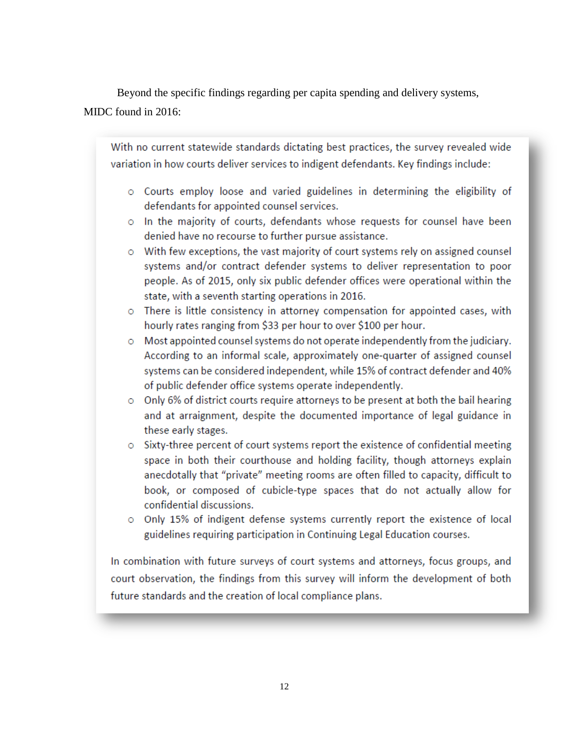Beyond the specific findings regarding per capita spending and delivery systems,

# MIDC found in 2016:

With no current statewide standards dictating best practices, the survey revealed wide variation in how courts deliver services to indigent defendants. Key findings include:

- o Courts employ loose and varied guidelines in determining the eligibility of defendants for appointed counsel services.
- o In the majority of courts, defendants whose requests for counsel have been denied have no recourse to further pursue assistance.
- o With few exceptions, the vast majority of court systems rely on assigned counsel systems and/or contract defender systems to deliver representation to poor people. As of 2015, only six public defender offices were operational within the state, with a seventh starting operations in 2016.
- o There is little consistency in attorney compensation for appointed cases, with hourly rates ranging from \$33 per hour to over \$100 per hour.
- $\circ$  Most appointed counsel systems do not operate independently from the judiciary. According to an informal scale, approximately one-quarter of assigned counsel systems can be considered independent, while 15% of contract defender and 40% of public defender office systems operate independently.
- o Only 6% of district courts require attorneys to be present at both the bail hearing and at arraignment, despite the documented importance of legal guidance in these early stages.
- o Sixty-three percent of court systems report the existence of confidential meeting space in both their courthouse and holding facility, though attorneys explain anecdotally that "private" meeting rooms are often filled to capacity, difficult to book, or composed of cubicle-type spaces that do not actually allow for confidential discussions.
- o Only 15% of indigent defense systems currently report the existence of local guidelines requiring participation in Continuing Legal Education courses.

In combination with future surveys of court systems and attorneys, focus groups, and court observation, the findings from this survey will inform the development of both future standards and the creation of local compliance plans.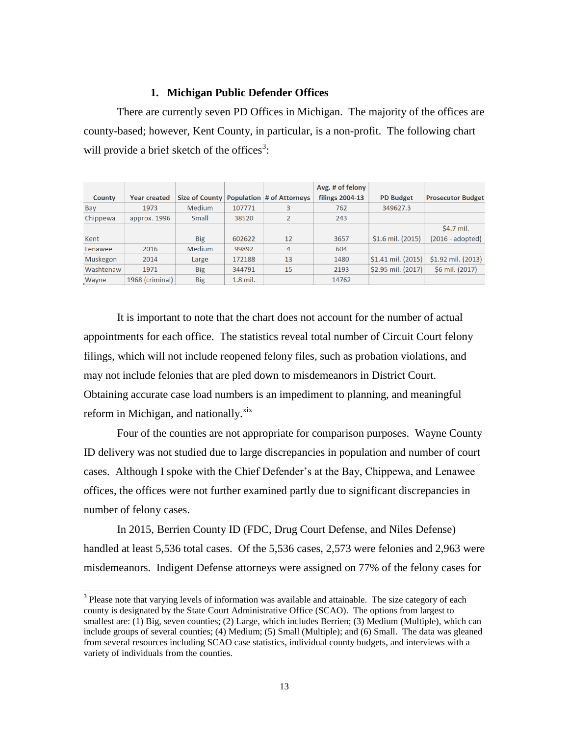#### **1. Michigan Public Defender Offices**

There are currently seven PD Offices in Michigan. The majority of the offices are county-based; however, Kent County, in particular, is a non-profit. The following chart will provide a brief sketch of the offices<sup>3</sup>:

|           |                     |                |            |                                  | Avg. # of felony       |                      |                          |
|-----------|---------------------|----------------|------------|----------------------------------|------------------------|----------------------|--------------------------|
| County    | <b>Year created</b> | Size of County |            | <b>Population # of Attorneys</b> | <b>filings 2004-13</b> | <b>PD Budget</b>     | <b>Prosecutor Budget</b> |
| Bay       | 1973                | <b>Medium</b>  | 107771     | 3                                | 762                    | 349627.3             |                          |
| Chippewa  | approx. 1996        | Small          | 38520      |                                  | 243                    |                      |                          |
|           |                     |                |            |                                  |                        |                      | \$4.7 mil.               |
| Kent      |                     | <b>Big</b>     | 602622     | 12                               | 3657                   | $$1.6$ mil. $(2015)$ | (2016 - adopted)         |
| Lenawee   | 2016                | <b>Medium</b>  | 99892      | 4                                | 604                    |                      |                          |
| Muskegon  | 2014                | Large          | 172188     | 13                               | 1480                   | $$1.41$ mil. (2015)  | \$1.92 mil. (2013)       |
| Washtenaw | 1971                | <b>Big</b>     | 344791     | 15                               | 2193                   | \$2.95 mil. (2017)   | \$6 mil. (2017)          |
| Wayne     | 1968 (criminal)     | <b>Big</b>     | $1.8$ mil. |                                  | 14762                  |                      |                          |

It is important to note that the chart does not account for the number of actual appointments for each office. The statistics reveal total number of Circuit Court felony filings, which will not include reopened felony files, such as probation violations, and may not include felonies that are pled down to misdemeanors in District Court. Obtaining accurate case load numbers is an impediment to planning, and meaningful reform in Michigan, and nationally.<sup>xix</sup>

Four of the counties are not appropriate for comparison purposes. Wayne County ID delivery was not studied due to large discrepancies in population and number of court cases. Although I spoke with the Chief Defender's at the Bay, Chippewa, and Lenawee offices, the offices were not further examined partly due to significant discrepancies in number of felony cases.

In 2015, Berrien County ID (FDC, Drug Court Defense, and Niles Defense) handled at least 5,536 total cases. Of the 5,536 cases, 2,573 were felonies and 2,963 were misdemeanors. Indigent Defense attorneys were assigned on 77% of the felony cases for

 $\overline{a}$ 

 $3$  Please note that varying levels of information was available and attainable. The size category of each county is designated by the State Court Administrative Office (SCAO). The options from largest to smallest are: (1) Big, seven counties; (2) Large, which includes Berrien; (3) Medium (Multiple), which can include groups of several counties; (4) Medium; (5) Small (Multiple); and (6) Small. The data was gleaned from several resources including SCAO case statistics, individual county budgets, and interviews with a variety of individuals from the counties.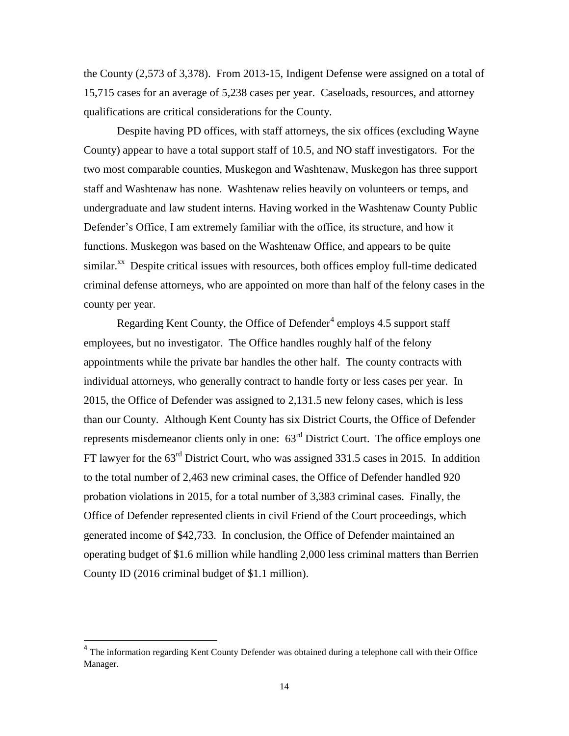the County (2,573 of 3,378). From 2013-15, Indigent Defense were assigned on a total of 15,715 cases for an average of 5,238 cases per year. Caseloads, resources, and attorney qualifications are critical considerations for the County.

Despite having PD offices, with staff attorneys, the six offices (excluding Wayne County) appear to have a total support staff of 10.5, and NO staff investigators. For the two most comparable counties, Muskegon and Washtenaw, Muskegon has three support staff and Washtenaw has none. Washtenaw relies heavily on volunteers or temps, and undergraduate and law student interns. Having worked in the Washtenaw County Public Defender's Office, I am extremely familiar with the office, its structure, and how it functions. Muskegon was based on the Washtenaw Office, and appears to be quite similar.<sup>xx</sup> Despite critical issues with resources, both offices employ full-time dedicated criminal defense attorneys, who are appointed on more than half of the felony cases in the county per year.

Regarding Kent County, the Office of Defender<sup>4</sup> employs 4.5 support staff employees, but no investigator. The Office handles roughly half of the felony appointments while the private bar handles the other half. The county contracts with individual attorneys, who generally contract to handle forty or less cases per year. In 2015, the Office of Defender was assigned to 2,131.5 new felony cases, which is less than our County. Although Kent County has six District Courts, the Office of Defender represents misdemeanor clients only in one:  $63<sup>rd</sup>$  District Court. The office employs one FT lawyer for the 63<sup>rd</sup> District Court, who was assigned 331.5 cases in 2015. In addition to the total number of 2,463 new criminal cases, the Office of Defender handled 920 probation violations in 2015, for a total number of 3,383 criminal cases. Finally, the Office of Defender represented clients in civil Friend of the Court proceedings, which generated income of \$42,733. In conclusion, the Office of Defender maintained an operating budget of \$1.6 million while handling 2,000 less criminal matters than Berrien County ID (2016 criminal budget of \$1.1 million).

l

<sup>&</sup>lt;sup>4</sup> The information regarding Kent County Defender was obtained during a telephone call with their Office Manager.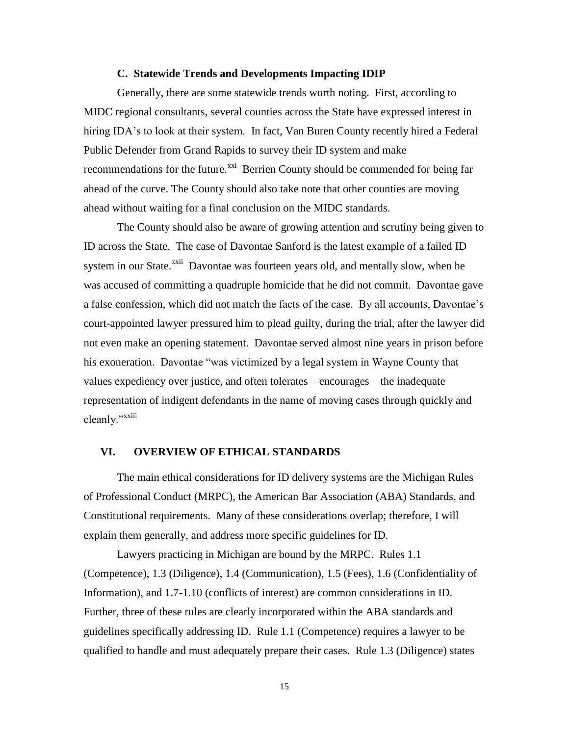#### **C. Statewide Trends and Developments Impacting IDIP**

Generally, there are some statewide trends worth noting. First, according to MIDC regional consultants, several counties across the State have expressed interest in hiring IDA's to look at their system. In fact, Van Buren County recently hired a Federal Public Defender from Grand Rapids to survey their ID system and make recommendations for the future.<sup>xxi</sup> Berrien County should be commended for being far ahead of the curve. The County should also take note that other counties are moving ahead without waiting for a final conclusion on the MIDC standards.

The County should also be aware of growing attention and scrutiny being given to ID across the State. The case of Davontae Sanford is the latest example of a failed ID system in our State.<sup>xxii</sup> Davontae was fourteen years old, and mentally slow, when he was accused of committing a quadruple homicide that he did not commit. Davontae gave a false confession, which did not match the facts of the case. By all accounts, Davontae's court-appointed lawyer pressured him to plead guilty, during the trial, after the lawyer did not even make an opening statement. Davontae served almost nine years in prison before his exoneration. Davontae "was victimized by a legal system in Wayne County that values expediency over justice, and often tolerates – encourages – the inadequate representation of indigent defendants in the name of moving cases through quickly and cleanly."<sup>xxiii</sup>

#### **VI. OVERVIEW OF ETHICAL STANDARDS**

The main ethical considerations for ID delivery systems are the Michigan Rules of Professional Conduct (MRPC), the American Bar Association (ABA) Standards, and Constitutional requirements. Many of these considerations overlap; therefore, I will explain them generally, and address more specific guidelines for ID.

Lawyers practicing in Michigan are bound by the MRPC. Rules 1.1 (Competence), 1.3 (Diligence), 1.4 (Communication), 1.5 (Fees), 1.6 (Confidentiality of Information), and 1.7-1.10 (conflicts of interest) are common considerations in ID. Further, three of these rules are clearly incorporated within the ABA standards and guidelines specifically addressing ID. Rule 1.1 (Competence) requires a lawyer to be qualified to handle and must adequately prepare their cases. Rule 1.3 (Diligence) states

15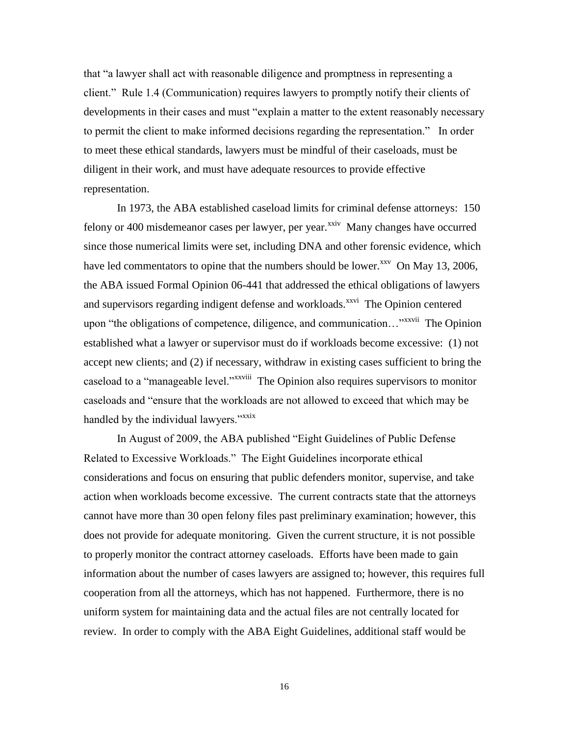that "a lawyer shall act with reasonable diligence and promptness in representing a client." Rule 1.4 (Communication) requires lawyers to promptly notify their clients of developments in their cases and must "explain a matter to the extent reasonably necessary to permit the client to make informed decisions regarding the representation." In order to meet these ethical standards, lawyers must be mindful of their caseloads, must be diligent in their work, and must have adequate resources to provide effective representation.

In 1973, the ABA established caseload limits for criminal defense attorneys: 150 felony or 400 misdemeanor cases per lawyer, per year.<sup>xxiv</sup> Many changes have occurred since those numerical limits were set, including DNA and other forensic evidence, which have led commentators to opine that the numbers should be lower. $x^{xx}$  On May 13, 2006, the ABA issued Formal Opinion 06-441 that addressed the ethical obligations of lawyers and supervisors regarding indigent defense and workloads.<sup>xxvi</sup> The Opinion centered upon "the obligations of competence, diligence, and communication..."<sup>xxvii</sup> The Opinion established what a lawyer or supervisor must do if workloads become excessive: (1) not accept new clients; and (2) if necessary, withdraw in existing cases sufficient to bring the caseload to a "manageable level."<sup>xxviii</sup> The Opinion also requires supervisors to monitor caseloads and "ensure that the workloads are not allowed to exceed that which may be handled by the individual lawyers."<sup>xxix</sup>

In August of 2009, the ABA published "Eight Guidelines of Public Defense Related to Excessive Workloads." The Eight Guidelines incorporate ethical considerations and focus on ensuring that public defenders monitor, supervise, and take action when workloads become excessive. The current contracts state that the attorneys cannot have more than 30 open felony files past preliminary examination; however, this does not provide for adequate monitoring. Given the current structure, it is not possible to properly monitor the contract attorney caseloads. Efforts have been made to gain information about the number of cases lawyers are assigned to; however, this requires full cooperation from all the attorneys, which has not happened. Furthermore, there is no uniform system for maintaining data and the actual files are not centrally located for review. In order to comply with the ABA Eight Guidelines, additional staff would be

16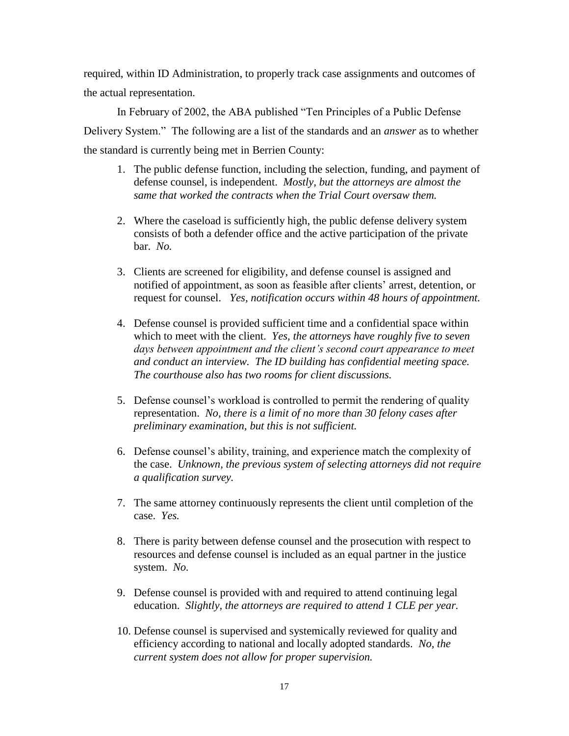required, within ID Administration, to properly track case assignments and outcomes of the actual representation.

In February of 2002, the ABA published "Ten Principles of a Public Defense Delivery System." The following are a list of the standards and an *answer* as to whether the standard is currently being met in Berrien County:

- 1. The public defense function, including the selection, funding, and payment of defense counsel, is independent. *Mostly, but the attorneys are almost the same that worked the contracts when the Trial Court oversaw them.*
- 2. Where the caseload is sufficiently high, the public defense delivery system consists of both a defender office and the active participation of the private bar. *No.*
- 3. Clients are screened for eligibility, and defense counsel is assigned and notified of appointment, as soon as feasible after clients' arrest, detention, or request for counsel. *Yes, notification occurs within 48 hours of appointment.*
- 4. Defense counsel is provided sufficient time and a confidential space within which to meet with the client. *Yes, the attorneys have roughly five to seven days between appointment and the client's second court appearance to meet and conduct an interview. The ID building has confidential meeting space. The courthouse also has two rooms for client discussions.*
- 5. Defense counsel's workload is controlled to permit the rendering of quality representation. *No, there is a limit of no more than 30 felony cases after preliminary examination, but this is not sufficient.*
- 6. Defense counsel's ability, training, and experience match the complexity of the case. *Unknown, the previous system of selecting attorneys did not require a qualification survey.*
- 7. The same attorney continuously represents the client until completion of the case. *Yes.*
- 8. There is parity between defense counsel and the prosecution with respect to resources and defense counsel is included as an equal partner in the justice system. *No.*
- 9. Defense counsel is provided with and required to attend continuing legal education. *Slightly, the attorneys are required to attend 1 CLE per year.*
- 10. Defense counsel is supervised and systemically reviewed for quality and efficiency according to national and locally adopted standards. *No, the current system does not allow for proper supervision.*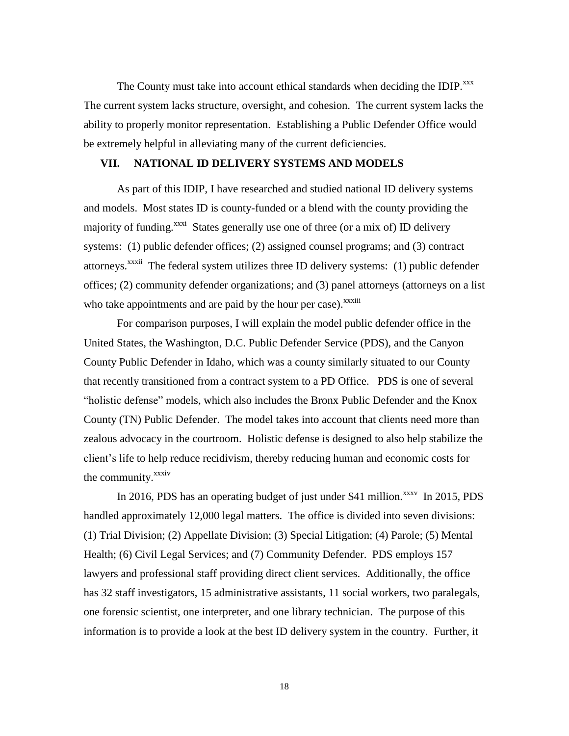The County must take into account ethical standards when deciding the IDIP.<sup>xxx</sup> The current system lacks structure, oversight, and cohesion. The current system lacks the ability to properly monitor representation. Establishing a Public Defender Office would be extremely helpful in alleviating many of the current deficiencies.

## **VII. NATIONAL ID DELIVERY SYSTEMS AND MODELS**

As part of this IDIP, I have researched and studied national ID delivery systems and models. Most states ID is county-funded or a blend with the county providing the majority of funding.<sup>xxxi</sup> States generally use one of three (or a mix of) ID delivery systems: (1) public defender offices; (2) assigned counsel programs; and (3) contract attorneys.<sup>xxxii</sup> The federal system utilizes three ID delivery systems: (1) public defender offices; (2) community defender organizations; and (3) panel attorneys (attorneys on a list who take appointments and are paid by the hour per case). $\frac{x}{x}$ 

For comparison purposes, I will explain the model public defender office in the United States, the Washington, D.C. Public Defender Service (PDS), and the Canyon County Public Defender in Idaho, which was a county similarly situated to our County that recently transitioned from a contract system to a PD Office. PDS is one of several "holistic defense" models, which also includes the Bronx Public Defender and the Knox County (TN) Public Defender. The model takes into account that clients need more than zealous advocacy in the courtroom. Holistic defense is designed to also help stabilize the client's life to help reduce recidivism, thereby reducing human and economic costs for the community.<sup>xxxiv</sup>

In 2016, PDS has an operating budget of just under \$41 million. $\frac{x}{x}$  In 2015, PDS handled approximately 12,000 legal matters. The office is divided into seven divisions: (1) Trial Division; (2) Appellate Division; (3) Special Litigation; (4) Parole; (5) Mental Health; (6) Civil Legal Services; and (7) Community Defender. PDS employs 157 lawyers and professional staff providing direct client services. Additionally, the office has 32 staff investigators, 15 administrative assistants, 11 social workers, two paralegals, one forensic scientist, one interpreter, and one library technician. The purpose of this information is to provide a look at the best ID delivery system in the country. Further, it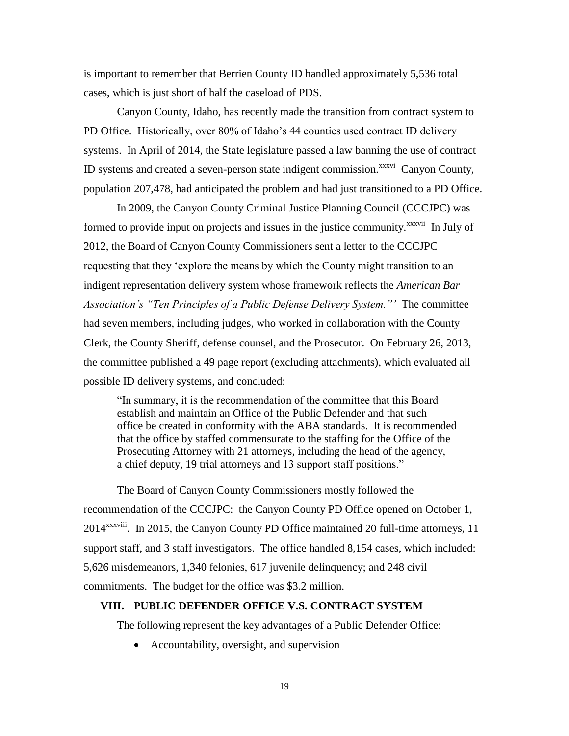is important to remember that Berrien County ID handled approximately 5,536 total cases, which is just short of half the caseload of PDS.

Canyon County, Idaho, has recently made the transition from contract system to PD Office. Historically, over 80% of Idaho's 44 counties used contract ID delivery systems. In April of 2014, the State legislature passed a law banning the use of contract ID systems and created a seven-person state indigent commission.<sup>xxxvi</sup> Canyon County, population 207,478, had anticipated the problem and had just transitioned to a PD Office.

In 2009, the Canyon County Criminal Justice Planning Council (CCCJPC) was formed to provide input on projects and issues in the justice community.<sup>xxxvii</sup> In July of 2012, the Board of Canyon County Commissioners sent a letter to the CCCJPC requesting that they 'explore the means by which the County might transition to an indigent representation delivery system whose framework reflects the *American Bar Association's "Ten Principles of a Public Defense Delivery System."'* The committee had seven members, including judges, who worked in collaboration with the County Clerk, the County Sheriff, defense counsel, and the Prosecutor. On February 26, 2013, the committee published a 49 page report (excluding attachments), which evaluated all possible ID delivery systems, and concluded:

"In summary, it is the recommendation of the committee that this Board establish and maintain an Office of the Public Defender and that such office be created in conformity with the ABA standards. It is recommended that the office by staffed commensurate to the staffing for the Office of the Prosecuting Attorney with 21 attorneys, including the head of the agency, a chief deputy, 19 trial attorneys and 13 support staff positions."

The Board of Canyon County Commissioners mostly followed the recommendation of the CCCJPC: the Canyon County PD Office opened on October 1, 2014<sup>xxxviii</sup>. In 2015, the Canyon County PD Office maintained 20 full-time attorneys, 11 support staff, and 3 staff investigators. The office handled 8,154 cases, which included: 5,626 misdemeanors, 1,340 felonies, 617 juvenile delinquency; and 248 civil commitments. The budget for the office was \$3.2 million.

## **VIII. PUBLIC DEFENDER OFFICE V.S. CONTRACT SYSTEM**

The following represent the key advantages of a Public Defender Office:

• Accountability, oversight, and supervision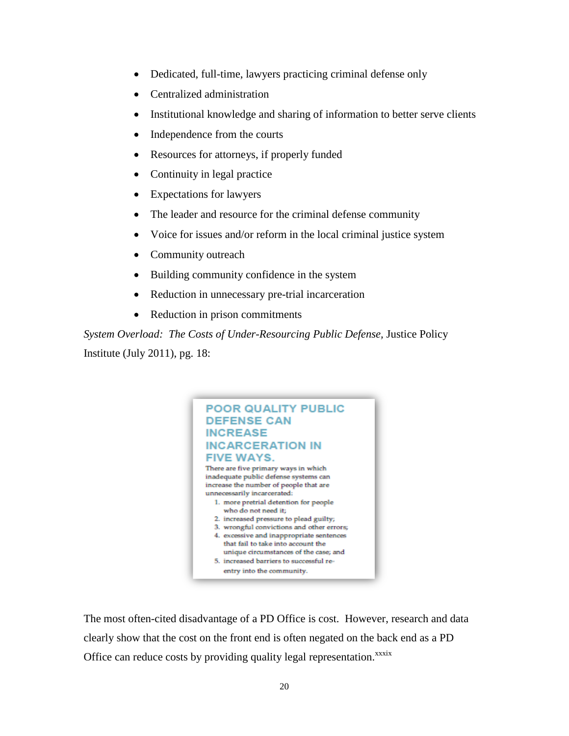- Dedicated, full-time, lawyers practicing criminal defense only
- Centralized administration
- Institutional knowledge and sharing of information to better serve clients
- Independence from the courts
- Resources for attorneys, if properly funded
- Continuity in legal practice
- Expectations for lawyers
- The leader and resource for the criminal defense community
- Voice for issues and/or reform in the local criminal justice system
- Community outreach
- Building community confidence in the system
- Reduction in unnecessary pre-trial incarceration
- Reduction in prison commitments

*System Overload: The Costs of Under-Resourcing Public Defense,* Justice Policy Institute (July 2011), pg. 18:



The most often-cited disadvantage of a PD Office is cost. However, research and data clearly show that the cost on the front end is often negated on the back end as a PD Office can reduce costs by providing quality legal representation.<sup>xxxix</sup>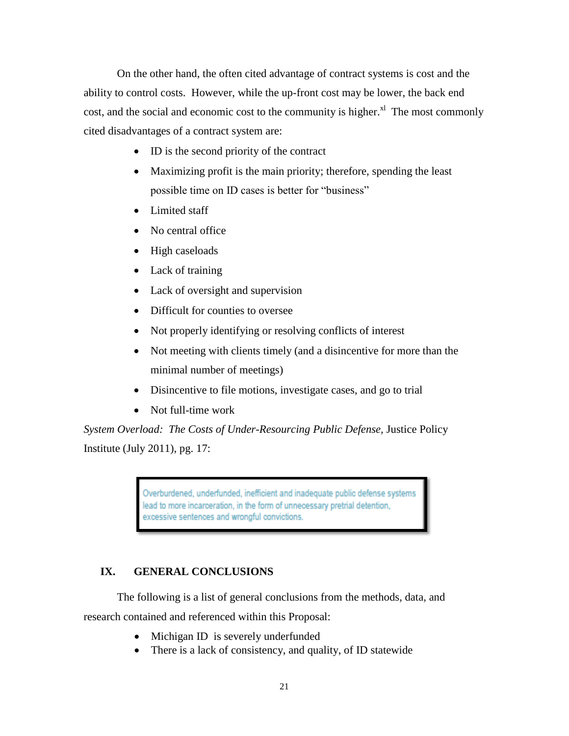On the other hand, the often cited advantage of contract systems is cost and the ability to control costs. However, while the up-front cost may be lower, the back end cost, and the social and economic cost to the community is higher. $X^1$  The most commonly cited disadvantages of a contract system are:

- ID is the second priority of the contract
- Maximizing profit is the main priority; therefore, spending the least possible time on ID cases is better for "business"
- Limited staff
- No central office
- High caseloads
- Lack of training
- Lack of oversight and supervision
- Difficult for counties to oversee
- Not properly identifying or resolving conflicts of interest
- Not meeting with clients timely (and a disincentive for more than the minimal number of meetings)
- Disincentive to file motions, investigate cases, and go to trial
- Not full-time work

*System Overload: The Costs of Under-Resourcing Public Defense,* Justice Policy Institute (July 2011), pg. 17:

> Overburdened, underfunded, inefficient and inadequate public defense systems lead to more incarceration, in the form of unnecessary pretrial detention, excessive sentences and wrongful convictions.

## **IX. GENERAL CONCLUSIONS**

The following is a list of general conclusions from the methods, data, and research contained and referenced within this Proposal:

- Michigan ID is severely underfunded
- There is a lack of consistency, and quality, of ID statewide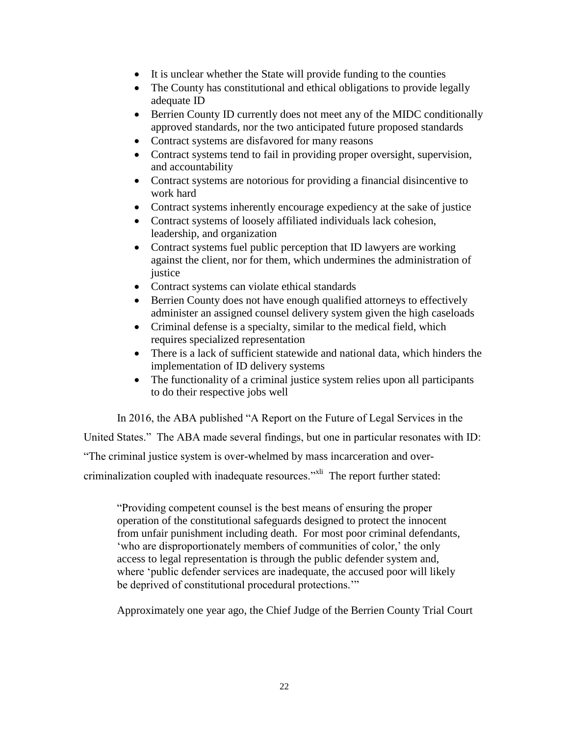- It is unclear whether the State will provide funding to the counties
- The County has constitutional and ethical obligations to provide legally adequate ID
- Berrien County ID currently does not meet any of the MIDC conditionally approved standards, nor the two anticipated future proposed standards
- Contract systems are disfavored for many reasons
- Contract systems tend to fail in providing proper oversight, supervision, and accountability
- Contract systems are notorious for providing a financial disincentive to work hard
- Contract systems inherently encourage expediency at the sake of justice
- Contract systems of loosely affiliated individuals lack cohesion, leadership, and organization
- Contract systems fuel public perception that ID lawyers are working against the client, nor for them, which undermines the administration of justice
- Contract systems can violate ethical standards
- Berrien County does not have enough qualified attorneys to effectively administer an assigned counsel delivery system given the high caseloads
- Criminal defense is a specialty, similar to the medical field, which requires specialized representation
- There is a lack of sufficient statewide and national data, which hinders the implementation of ID delivery systems
- The functionality of a criminal justice system relies upon all participants to do their respective jobs well

In 2016, the ABA published "A Report on the Future of Legal Services in the

United States." The ABA made several findings, but one in particular resonates with ID:

"The criminal justice system is over-whelmed by mass incarceration and over-

criminalization coupled with inadequate resources."<sup>XII</sup> The report further stated:

"Providing competent counsel is the best means of ensuring the proper operation of the constitutional safeguards designed to protect the innocent from unfair punishment including death. For most poor criminal defendants, 'who are disproportionately members of communities of color,' the only access to legal representation is through the public defender system and, where 'public defender services are inadequate, the accused poor will likely be deprived of constitutional procedural protections.'"

Approximately one year ago, the Chief Judge of the Berrien County Trial Court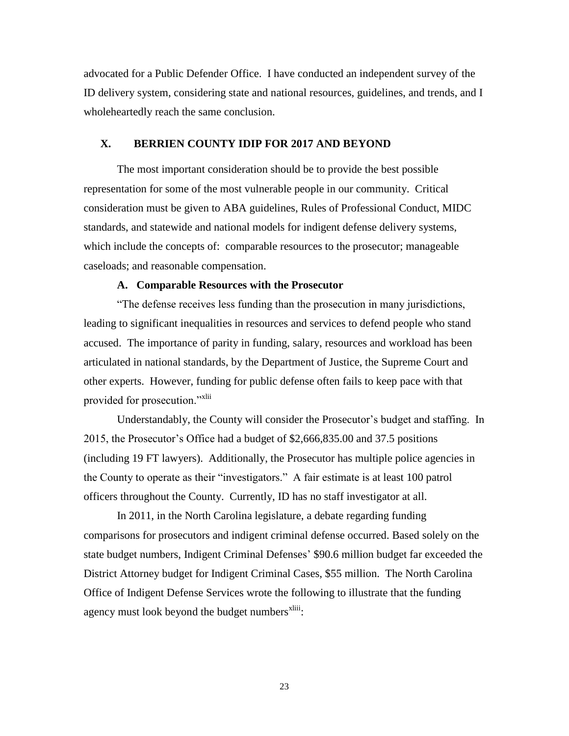advocated for a Public Defender Office. I have conducted an independent survey of the ID delivery system, considering state and national resources, guidelines, and trends, and I wholeheartedly reach the same conclusion.

#### **X. BERRIEN COUNTY IDIP FOR 2017 AND BEYOND**

The most important consideration should be to provide the best possible representation for some of the most vulnerable people in our community. Critical consideration must be given to ABA guidelines, Rules of Professional Conduct, MIDC standards, and statewide and national models for indigent defense delivery systems, which include the concepts of: comparable resources to the prosecutor; manageable caseloads; and reasonable compensation.

#### **A. Comparable Resources with the Prosecutor**

"The defense receives less funding than the prosecution in many jurisdictions, leading to significant inequalities in resources and services to defend people who stand accused. The importance of parity in funding, salary, resources and workload has been articulated in national standards, by the Department of Justice, the Supreme Court and other experts. However, funding for public defense often fails to keep pace with that provided for prosecution."<sup>xlii</sup>

Understandably, the County will consider the Prosecutor's budget and staffing. In 2015, the Prosecutor's Office had a budget of \$2,666,835.00 and 37.5 positions (including 19 FT lawyers). Additionally, the Prosecutor has multiple police agencies in the County to operate as their "investigators." A fair estimate is at least 100 patrol officers throughout the County. Currently, ID has no staff investigator at all.

In 2011, in the North Carolina legislature, a debate regarding funding comparisons for prosecutors and indigent criminal defense occurred. Based solely on the state budget numbers, Indigent Criminal Defenses' \$90.6 million budget far exceeded the District Attorney budget for Indigent Criminal Cases, \$55 million. The North Carolina Office of Indigent Defense Services wrote the following to illustrate that the funding agency must look beyond the budget numbers<sup>xliii</sup>:

23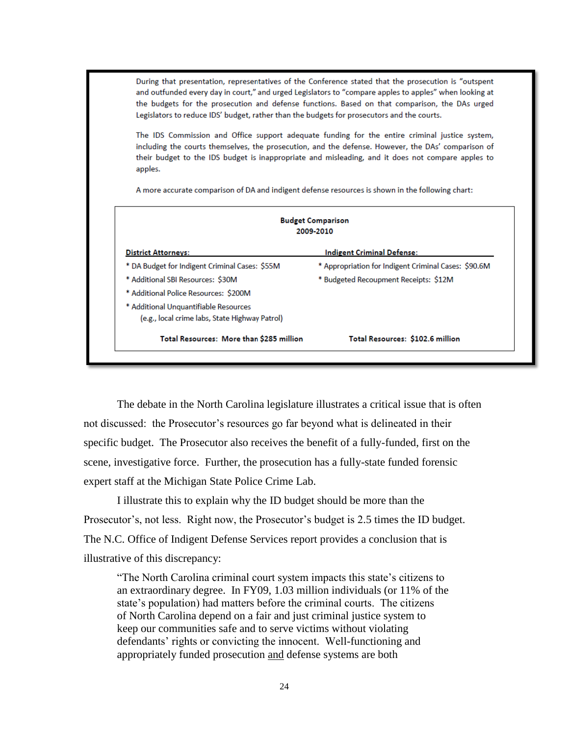During that presentation, representatives of the Conference stated that the prosecution is "outspent and outfunded every day in court," and urged Legislators to "compare apples to apples" when looking at the budgets for the prosecution and defense functions. Based on that comparison, the DAs urged Legislators to reduce IDS' budget, rather than the budgets for prosecutors and the courts.

The IDS Commission and Office support adequate funding for the entire criminal justice system, including the courts themselves, the prosecution, and the defense. However, the DAs' comparison of their budget to the IDS budget is inappropriate and misleading, and it does not compare apples to apples.

A more accurate comparison of DA and indigent defense resources is shown in the following chart:

| <b>Budget Comparison</b><br>2009-2010          |                                                      |  |  |  |  |  |  |
|------------------------------------------------|------------------------------------------------------|--|--|--|--|--|--|
| <b>District Attorneys:</b>                     | <b>Indigent Criminal Defense:</b>                    |  |  |  |  |  |  |
| * DA Budget for Indigent Criminal Cases: \$55M | * Appropriation for Indigent Criminal Cases: \$90.6M |  |  |  |  |  |  |
| * Additional SBI Resources: \$30M              | * Budgeted Recoupment Receipts: \$12M                |  |  |  |  |  |  |
| * Additional Police Resources: \$200M          |                                                      |  |  |  |  |  |  |
| * Additional Unquantifiable Resources          |                                                      |  |  |  |  |  |  |
| (e.g., local crime labs, State Highway Patrol) |                                                      |  |  |  |  |  |  |
| Total Resources: More than \$285 million       | Total Resources: \$102.6 million                     |  |  |  |  |  |  |

The debate in the North Carolina legislature illustrates a critical issue that is often not discussed: the Prosecutor's resources go far beyond what is delineated in their specific budget. The Prosecutor also receives the benefit of a fully-funded, first on the scene, investigative force. Further, the prosecution has a fully-state funded forensic expert staff at the Michigan State Police Crime Lab.

I illustrate this to explain why the ID budget should be more than the Prosecutor's, not less. Right now, the Prosecutor's budget is 2.5 times the ID budget. The N.C. Office of Indigent Defense Services report provides a conclusion that is illustrative of this discrepancy:

"The North Carolina criminal court system impacts this state's citizens to an extraordinary degree. In FY09, 1.03 million individuals (or 11% of the state's population) had matters before the criminal courts. The citizens of North Carolina depend on a fair and just criminal justice system to keep our communities safe and to serve victims without violating defendants' rights or convicting the innocent. Well-functioning and appropriately funded prosecution and defense systems are both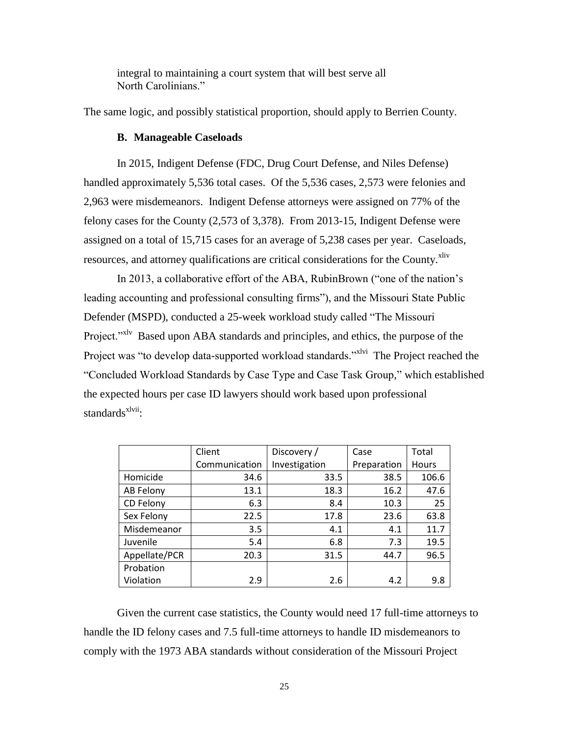integral to maintaining a court system that will best serve all North Carolinians."

The same logic, and possibly statistical proportion, should apply to Berrien County.

#### **B. Manageable Caseloads**

In 2015, Indigent Defense (FDC, Drug Court Defense, and Niles Defense) handled approximately 5,536 total cases. Of the 5,536 cases, 2,573 were felonies and 2,963 were misdemeanors. Indigent Defense attorneys were assigned on 77% of the felony cases for the County (2,573 of 3,378). From 2013-15, Indigent Defense were assigned on a total of 15,715 cases for an average of 5,238 cases per year. Caseloads, resources, and attorney qualifications are critical considerations for the County.<sup>xliv</sup>

In 2013, a collaborative effort of the ABA, RubinBrown ("one of the nation's leading accounting and professional consulting firms"), and the Missouri State Public Defender (MSPD), conducted a 25-week workload study called "The Missouri Project."<sup>xlv</sup> Based upon ABA standards and principles, and ethics, the purpose of the Project was "to develop data-supported workload standards."<sup>xlvi</sup> The Project reached the "Concluded Workload Standards by Case Type and Case Task Group," which established the expected hours per case ID lawyers should work based upon professional standards<sup>xlvii</sup>:

|               | Client        | Discovery /   | Case        | Total |
|---------------|---------------|---------------|-------------|-------|
|               | Communication | Investigation | Preparation | Hours |
| Homicide      | 34.6          | 33.5          | 38.5        | 106.6 |
| AB Felony     | 13.1          | 18.3          | 16.2        | 47.6  |
| CD Felony     | 6.3           | 8.4           | 10.3        | 25    |
| Sex Felony    | 22.5          | 17.8          | 23.6        | 63.8  |
| Misdemeanor   | 3.5           | 4.1           | 4.1         | 11.7  |
| Juvenile      | 5.4           | 6.8           | 7.3         | 19.5  |
| Appellate/PCR | 20.3          | 31.5          | 44.7        | 96.5  |
| Probation     |               |               |             |       |
| Violation     | 2.9           | 2.6           | 4.2         | 9.8   |

Given the current case statistics, the County would need 17 full-time attorneys to handle the ID felony cases and 7.5 full-time attorneys to handle ID misdemeanors to comply with the 1973 ABA standards without consideration of the Missouri Project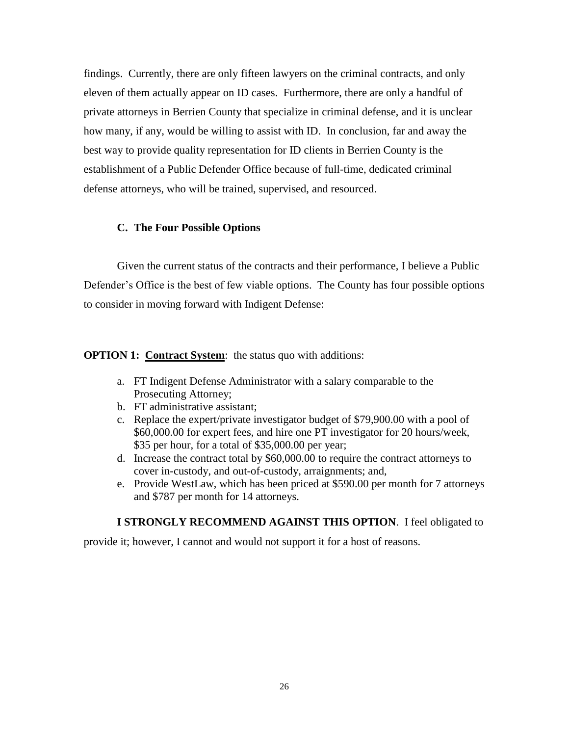findings. Currently, there are only fifteen lawyers on the criminal contracts, and only eleven of them actually appear on ID cases. Furthermore, there are only a handful of private attorneys in Berrien County that specialize in criminal defense, and it is unclear how many, if any, would be willing to assist with ID. In conclusion, far and away the best way to provide quality representation for ID clients in Berrien County is the establishment of a Public Defender Office because of full-time, dedicated criminal defense attorneys, who will be trained, supervised, and resourced.

#### **C. The Four Possible Options**

Given the current status of the contracts and their performance, I believe a Public Defender's Office is the best of few viable options. The County has four possible options to consider in moving forward with Indigent Defense:

#### **OPTION 1: Contract System:** the status quo with additions:

- a. FT Indigent Defense Administrator with a salary comparable to the Prosecuting Attorney;
- b. FT administrative assistant;
- c. Replace the expert/private investigator budget of \$79,900.00 with a pool of \$60,000.00 for expert fees, and hire one PT investigator for 20 hours/week, \$35 per hour, for a total of \$35,000.00 per year;
- d. Increase the contract total by \$60,000.00 to require the contract attorneys to cover in-custody, and out-of-custody, arraignments; and,
- e. Provide WestLaw, which has been priced at \$590.00 per month for 7 attorneys and \$787 per month for 14 attorneys.

#### **I STRONGLY RECOMMEND AGAINST THIS OPTION**. I feel obligated to

provide it; however, I cannot and would not support it for a host of reasons.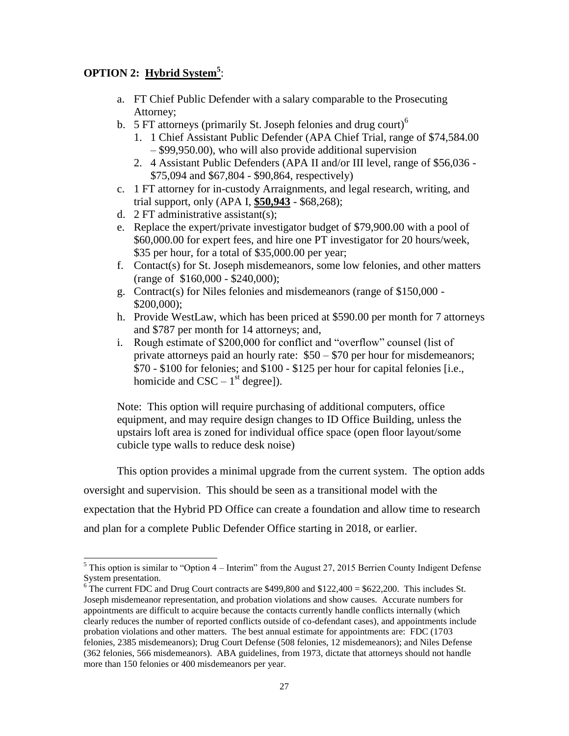# **OPTION 2: Hybrid System<sup>5</sup>** :

- a. FT Chief Public Defender with a salary comparable to the Prosecuting Attorney;
- b. 5 FT attorneys (primarily St. Joseph felonies and drug court)<sup>6</sup>
	- 1. 1 Chief Assistant Public Defender (APA Chief Trial, range of \$74,584.00 – \$99,950.00), who will also provide additional supervision
	- 2. 4 Assistant Public Defenders (APA II and/or III level, range of \$56,036 \$75,094 and \$67,804 - \$90,864, respectively)
- c. 1 FT attorney for in-custody Arraignments, and legal research, writing, and trial support, only (APA I, **\$50,943** - \$68,268);
- d. 2 FT administrative assistant(s);
- e. Replace the expert/private investigator budget of \$79,900.00 with a pool of \$60,000.00 for expert fees, and hire one PT investigator for 20 hours/week, \$35 per hour, for a total of \$35,000.00 per year;
- f. Contact(s) for St. Joseph misdemeanors, some low felonies, and other matters (range of \$160,000 - \$240,000);
- g. Contract(s) for Niles felonies and misdemeanors (range of \$150,000 \$200,000);
- h. Provide WestLaw, which has been priced at \$590.00 per month for 7 attorneys and \$787 per month for 14 attorneys; and,
- i. Rough estimate of \$200,000 for conflict and "overflow" counsel (list of private attorneys paid an hourly rate: \$50 – \$70 per hour for misdemeanors; \$70 - \$100 for felonies; and \$100 - \$125 per hour for capital felonies [i.e., homicide and  $\text{CSC} - 1^{\text{st}}$  degree]).

Note: This option will require purchasing of additional computers, office equipment, and may require design changes to ID Office Building, unless the upstairs loft area is zoned for individual office space (open floor layout/some cubicle type walls to reduce desk noise)

This option provides a minimal upgrade from the current system. The option adds

oversight and supervision. This should be seen as a transitional model with the

expectation that the Hybrid PD Office can create a foundation and allow time to research

and plan for a complete Public Defender Office starting in 2018, or earlier.

 $\overline{a}$  $<sup>5</sup>$  This option is similar to "Option 4 – Interim" from the August 27, 2015 Berrien County Indigent Defense</sup> System presentation.

<sup>&</sup>lt;sup>6</sup> The current FDC and Drug Court contracts are \$499,800 and  $$122,400 = $622,200$ . This includes St. Joseph misdemeanor representation, and probation violations and show causes. Accurate numbers for appointments are difficult to acquire because the contacts currently handle conflicts internally (which clearly reduces the number of reported conflicts outside of co-defendant cases), and appointments include probation violations and other matters. The best annual estimate for appointments are: FDC (1703 felonies, 2385 misdemeanors); Drug Court Defense (508 felonies, 12 misdemeanors); and Niles Defense (362 felonies, 566 misdemeanors). ABA guidelines, from 1973, dictate that attorneys should not handle more than 150 felonies or 400 misdemeanors per year.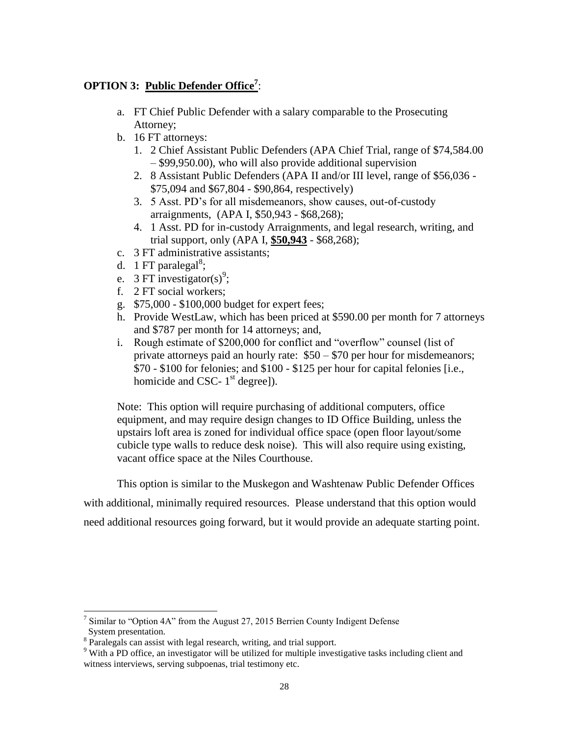# **OPTION 3: Public Defender Office<sup>7</sup>** :

- a. FT Chief Public Defender with a salary comparable to the Prosecuting Attorney;
- b. 16 FT attorneys:
	- 1. 2 Chief Assistant Public Defenders (APA Chief Trial, range of \$74,584.00 – \$99,950.00), who will also provide additional supervision
	- 2. 8 Assistant Public Defenders (APA II and/or III level, range of \$56,036 \$75,094 and \$67,804 - \$90,864, respectively)
	- 3. 5 Asst. PD's for all misdemeanors, show causes, out-of-custody arraignments, (APA I, \$50,943 - \$68,268);
	- 4. 1 Asst. PD for in-custody Arraignments, and legal research, writing, and trial support, only (APA I, **\$50,943** - \$68,268);
- c. 3 FT administrative assistants;
- d. 1 FT paralegal<sup>8</sup>;
- e. 3 FT investigator(s)<sup>9</sup>;
- f. 2 FT social workers;
- g. \$75,000 \$100,000 budget for expert fees;
- h. Provide WestLaw, which has been priced at \$590.00 per month for 7 attorneys and \$787 per month for 14 attorneys; and,
- i. Rough estimate of \$200,000 for conflict and "overflow" counsel (list of private attorneys paid an hourly rate: \$50 – \$70 per hour for misdemeanors; \$70 - \$100 for felonies; and \$100 - \$125 per hour for capital felonies [i.e., homicide and CSC-  $1<sup>st</sup>$  degree]).

Note: This option will require purchasing of additional computers, office equipment, and may require design changes to ID Office Building, unless the upstairs loft area is zoned for individual office space (open floor layout/some cubicle type walls to reduce desk noise). This will also require using existing, vacant office space at the Niles Courthouse.

This option is similar to the Muskegon and Washtenaw Public Defender Offices

with additional, minimally required resources. Please understand that this option would

need additional resources going forward, but it would provide an adequate starting point.

<sup>&</sup>lt;sup>7</sup> Similar to "Option 4A" from the August 27, 2015 Berrien County Indigent Defense System presentation.

<sup>&</sup>lt;sup>8</sup> Paralegals can assist with legal research, writing, and trial support.

<sup>&</sup>lt;sup>9</sup> With a PD office, an investigator will be utilized for multiple investigative tasks including client and witness interviews, serving subpoenas, trial testimony etc.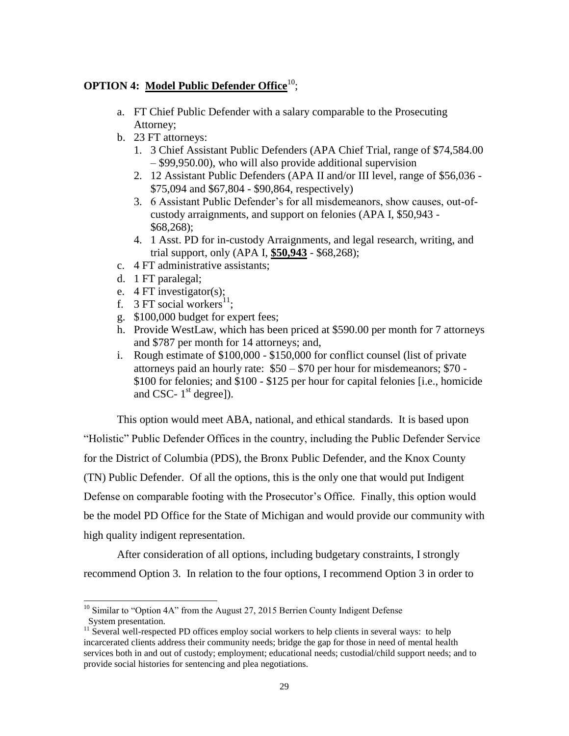# **OPTION 4: Model Public Defender Office**<sup>10</sup>;

- a. FT Chief Public Defender with a salary comparable to the Prosecuting Attorney;
- b. 23 FT attorneys:
	- 1. 3 Chief Assistant Public Defenders (APA Chief Trial, range of \$74,584.00 – \$99,950.00), who will also provide additional supervision
	- 2. 12 Assistant Public Defenders (APA II and/or III level, range of \$56,036 \$75,094 and \$67,804 - \$90,864, respectively)
	- 3. 6 Assistant Public Defender's for all misdemeanors, show causes, out-ofcustody arraignments, and support on felonies (APA I, \$50,943 - \$68,268);
	- 4. 1 Asst. PD for in-custody Arraignments, and legal research, writing, and trial support, only (APA I, **\$50,943** - \$68,268);
- c. 4 FT administrative assistants;
- d. 1 FT paralegal;
- e. 4 FT investigator(s);
- f. 3 FT social workers<sup>11</sup>;
- g. \$100,000 budget for expert fees;
- h. Provide WestLaw, which has been priced at \$590.00 per month for 7 attorneys and \$787 per month for 14 attorneys; and,
- i. Rough estimate of \$100,000 \$150,000 for conflict counsel (list of private attorneys paid an hourly rate: \$50 – \$70 per hour for misdemeanors; \$70 - \$100 for felonies; and \$100 - \$125 per hour for capital felonies [i.e., homicide and CSC-  $1<sup>st</sup>$  degree]).

This option would meet ABA, national, and ethical standards. It is based upon "Holistic" Public Defender Offices in the country, including the Public Defender Service for the District of Columbia (PDS), the Bronx Public Defender, and the Knox County (TN) Public Defender. Of all the options, this is the only one that would put Indigent Defense on comparable footing with the Prosecutor's Office. Finally, this option would be the model PD Office for the State of Michigan and would provide our community with high quality indigent representation.

After consideration of all options, including budgetary constraints, I strongly recommend Option 3. In relation to the four options, I recommend Option 3 in order to

 $\overline{a}$ <sup>10</sup> Similar to "Option 4A" from the August 27, 2015 Berrien County Indigent Defense System presentation.

<sup>&</sup>lt;sup>11</sup> Several well-respected PD offices employ social workers to help clients in several ways: to help incarcerated clients address their community needs; bridge the gap for those in need of mental health services both in and out of custody; employment; educational needs; custodial/child support needs; and to provide social histories for sentencing and plea negotiations.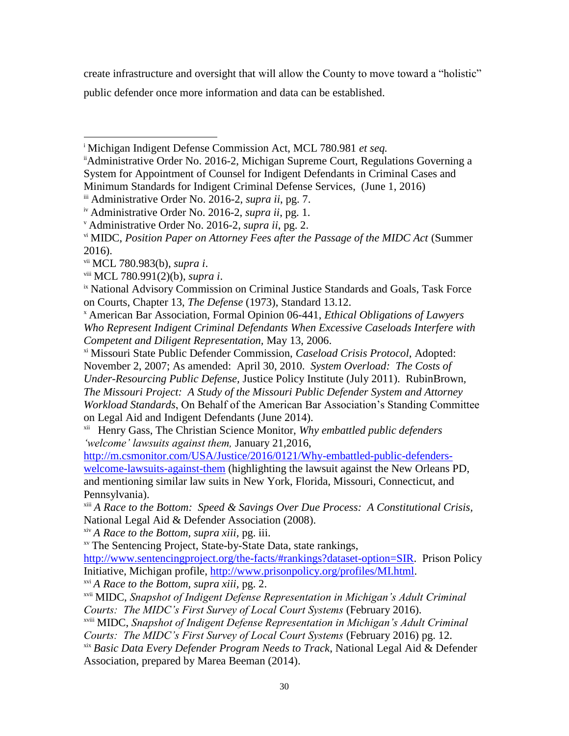create infrastructure and oversight that will allow the County to move toward a "holistic"

public defender once more information and data can be established.

iii Administrative Order No. 2016-2, *supra ii*, pg. 7.

<sup>x</sup> American Bar Association, Formal Opinion 06-441, *Ethical Obligations of Lawyers Who Represent Indigent Criminal Defendants When Excessive Caseloads Interfere with Competent and Diligent Representation,* May 13, 2006.

xi Missouri State Public Defender Commission, *Caseload Crisis Protocol*, Adopted: November 2, 2007; As amended: April 30, 2010. *System Overload: The Costs of Under-Resourcing Public Defense,* Justice Policy Institute (July 2011). RubinBrown*, The Missouri Project: A Study of the Missouri Public Defender System and Attorney Workload Standards*, On Behalf of the American Bar Association's Standing Committee on Legal Aid and Indigent Defendants (June 2014).

xii Henry Gass, The Christian Science Monitor, *Why embattled public defenders 'welcome' lawsuits against them,* January 21,2016,

[http://m.csmonitor.com/USA/Justice/2016/0121/Why-embattled-public-defenders](http://m.csmonitor.com/USA/Justice/2016/0121/Why-embattled-public-defenders-welcome-lawsuits-against-them)[welcome-lawsuits-against-them](http://m.csmonitor.com/USA/Justice/2016/0121/Why-embattled-public-defenders-welcome-lawsuits-against-them) (highlighting the lawsuit against the New Orleans PD, and mentioning similar law suits in New York, Florida, Missouri, Connecticut, and Pennsylvania).

xiii *A Race to the Bottom: Speed & Savings Over Due Process: A Constitutional Crisis,* National Legal Aid & Defender Association (2008).

xiv *A Race to the Bottom, supra xiii,* pg. iii.

xv The Sentencing Project, State-by-State Data, state rankings,

[http://www.sentencingproject.org/the-facts/#rankings?dataset-option=SIR.](http://www.sentencingproject.org/the-facts/#rankings?dataset-option=SIR) Prison Policy Initiative, Michigan profile, [http://www.prisonpolicy.org/profiles/MI.html.](http://www.prisonpolicy.org/profiles/MI.html)

xvi *A Race to the Bottom, supra xiii,* pg. 2.

xvii MIDC, *Snapshot of Indigent Defense Representation in Michigan's Adult Criminal Courts: The MIDC's First Survey of Local Court Systems* (February 2016).

xviii MIDC, *Snapshot of Indigent Defense Representation in Michigan's Adult Criminal Courts: The MIDC's First Survey of Local Court Systems* (February 2016) pg. 12.

xix *Basic Data Every Defender Program Needs to Track*, National Legal Aid & Defender Association, prepared by Marea Beeman (2014).

 $\overline{a}$ <sup>i</sup> Michigan Indigent Defense Commission Act, MCL 780.981 *et seq.*

iiAdministrative Order No. 2016-2, Michigan Supreme Court, Regulations Governing a System for Appointment of Counsel for Indigent Defendants in Criminal Cases and Minimum Standards for Indigent Criminal Defense Services, (June 1, 2016)

iv Administrative Order No. 2016-2, *supra ii*, pg. 1.

<sup>v</sup> Administrative Order No. 2016-2, *supra ii*, pg. 2.

vi MIDC, *Position Paper on Attorney Fees after the Passage of the MIDC Act* (Summer 2016).

vii MCL 780.983(b), *supra i*.

viii MCL 780.991(2)(b), *supra i*.

<sup>&</sup>lt;sup>ix</sup> National Advisory Commission on Criminal Justice Standards and Goals, Task Force on Courts, Chapter 13, *The Defense* (1973), Standard 13.12.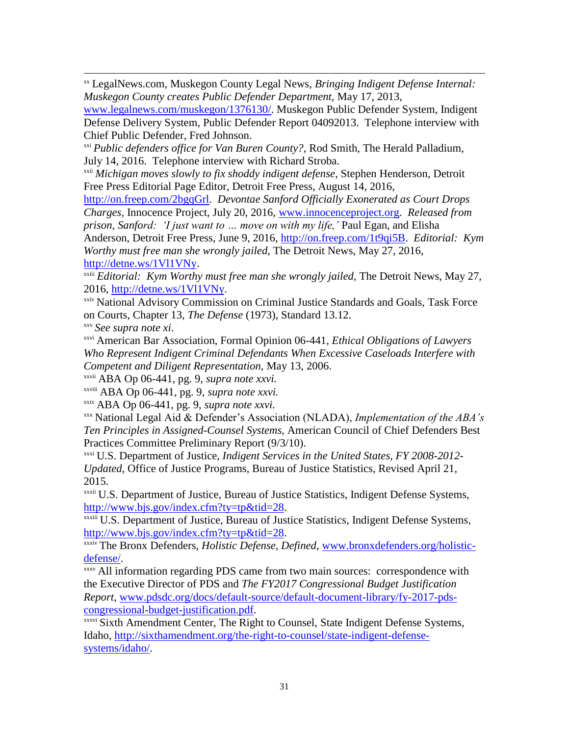xx LegalNews.com, Muskegon County Legal News, *Bringing Indigent Defense Internal: Muskegon County creates Public Defender Department,* May 17, 2013,

[www.legalnews.com/muskegon/1376130/.](http://www.legalnews.com/muskegon/1376130/) Muskegon Public Defender System, Indigent Defense Delivery System, Public Defender Report 04092013. Telephone interview with Chief Public Defender, Fred Johnson.

<sup>xxi</sup> Public defenders office for Van Buren County?, Rod Smith, The Herald Palladium, July 14, 2016. Telephone interview with Richard Stroba.

xxii *Michigan moves slowly to fix shoddy indigent defense*, Stephen Henderson, Detroit Free Press Editorial Page Editor, Detroit Free Press, August 14, 2016,

[http://on.freep.com/2bgqGrl.](http://on.freep.com/2bgqGrl) *Devontae Sanford Officially Exonerated as Court Drops Charges,* Innocence Project, July 20, 2016, [www.innocenceproject.org.](http://www.innocenceproject.org/) *Released from prison, Sanford: 'I just want to ... move on with my life,'* Paul Egan, and Elisha

Anderson, Detroit Free Press, June 9, 2016, [http://on.freep.com/1t9qi5B.](http://on.freep.com/1t9qi5B) *Editorial: Kym Worthy must free man she wrongly jailed,* The Detroit News, May 27, 2016, [http://detne.ws/1Vl1VNy.](http://detne.ws/1Vl1VNy)

<sup>xxiii</sup> *Editorial: Kym Worthy must free man she wrongly jailed*, The Detroit News, May 27, 2016, [http://detne.ws/1Vl1VNy.](http://detne.ws/1Vl1VNy)

xxiv National Advisory Commission on Criminal Justice Standards and Goals, Task Force on Courts, Chapter 13, *The Defense* (1973), Standard 13.12.

xxv *See supra note xi*.

 $\overline{a}$ 

xxvi American Bar Association, Formal Opinion 06-441, *Ethical Obligations of Lawyers Who Represent Indigent Criminal Defendants When Excessive Caseloads Interfere with Competent and Diligent Representation,* May 13, 2006.

xxvii ABA Op 06-441, pg. 9, *supra note xxvi.*

xxviii ABA Op 06-441, pg. 9, *supra note xxvi.*

xxix ABA Op 06-441, pg. 9, *supra note xxvi.*

xxx National Legal Aid & Defender's Association (NLADA), *Implementation of the ABA's Ten Principles in Assigned-Counsel Systems,* American Council of Chief Defenders Best Practices Committee Preliminary Report (9/3/10).

xxxi U.S. Department of Justice, *Indigent Services in the United States, FY 2008-2012- Updated*, Office of Justice Programs, Bureau of Justice Statistics, Revised April 21, 2015.

xxxii U.S. Department of Justice, Bureau of Justice Statistics, Indigent Defense Systems, [http://www.bjs.gov/index.cfm?ty=tp&tid=28.](http://www.bjs.gov/index.cfm?ty=tp&tid=28)

xxxiii U.S. Department of Justice, Bureau of Justice Statistics, Indigent Defense Systems, [http://www.bjs.gov/index.cfm?ty=tp&tid=28.](http://www.bjs.gov/index.cfm?ty=tp&tid=28)

xxxiv The Bronx Defenders, *Holistic Defense, Defined*, [www.bronxdefenders.org/holistic](http://www.bronxdefenders.org/holistic-defense/)[defense/.](http://www.bronxdefenders.org/holistic-defense/)

xxxv All information regarding PDS came from two main sources: correspondence with the Executive Director of PDS and *The FY2017 Congressional Budget Justification Report*, [www.pdsdc.org/docs/default-source/default-document-library/fy-2017-pds](http://www.pdsdc.org/docs/default-source/default-document-library/fy-2017-pds-congressional-budget-justification.pdf)[congressional-budget-justification.pdf.](http://www.pdsdc.org/docs/default-source/default-document-library/fy-2017-pds-congressional-budget-justification.pdf)

xxxvi Sixth Amendment Center, The Right to Counsel, State Indigent Defense Systems, Idaho, [http://sixthamendment.org/the-right-to-counsel/state-indigent-defense](http://sixthamendment.org/the-right-to-counsel/state-indigent-defense-systems/idaho/)[systems/idaho/.](http://sixthamendment.org/the-right-to-counsel/state-indigent-defense-systems/idaho/)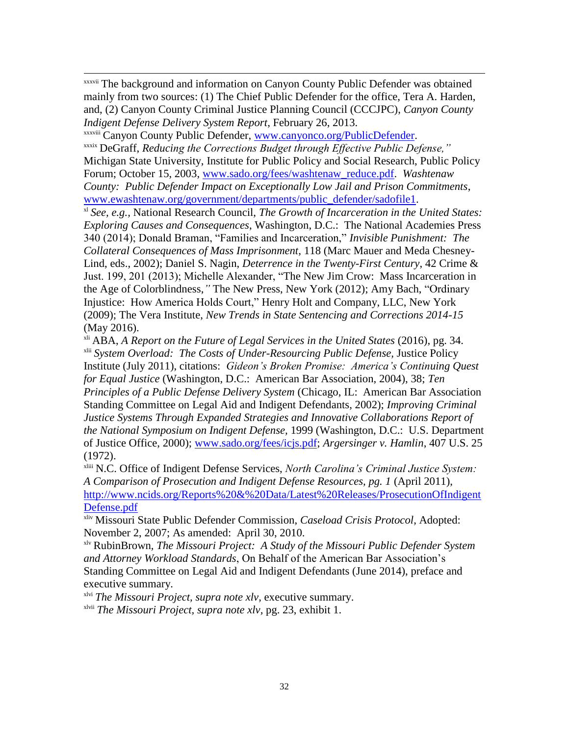xxxvii The background and information on Canyon County Public Defender was obtained mainly from two sources: (1) The Chief Public Defender for the office, Tera A. Harden, and, (2) Canyon County Criminal Justice Planning Council (CCCJPC), *Canyon County Indigent Defense Delivery System Report*, February 26, 2013.

xxxviii Canyon County Public Defender, [www.canyonco.org/PublicDefender.](http://www.canyonco.org/PublicDefender)

 $\overline{a}$ 

xxxix DeGraff, *Reducing the Corrections Budget through Effective Public Defense,"* Michigan State University, Institute for Public Policy and Social Research, Public Policy Forum; October 15, 2003, [www.sado.org/fees/washtenaw\\_reduce.pdf.](http://www.sado.org/fees/washtenaw_reduce.pdf) *Washtenaw County: Public Defender Impact on Exceptionally Low Jail and Prison Commitments*, [www.ewashtenaw.org/government/departments/public\\_defender/sadofile1.](http://www.ewashtenaw.org/government/departments/public_defender/sadofile1)

xl *See, e.g.,* National Research Council, *The Growth of Incarceration in the United States: Exploring Causes and Consequences*, Washington, D.C.: The National Academies Press 340 (2014); Donald Braman, "Families and Incarceration," *Invisible Punishment: The Collateral Consequences of Mass Imprisonment,* 118 (Marc Mauer and Meda Chesney-Lind, eds., 2002); Daniel S. Nagin, *Deterrence in the Twenty-First Century*, 42 Crime & Just. 199, 201 (2013); Michelle Alexander, "The New Jim Crow: Mass Incarceration in the Age of Colorblindness,*"* The New Press, New York (2012); Amy Bach, "Ordinary Injustice: How America Holds Court," Henry Holt and Company, LLC, New York (2009); The Vera Institute, *New Trends in State Sentencing and Corrections 2014-15* (May 2016).

<sup>xli</sup> ABA, *A Report on the Future of Legal Services in the United States* (2016), pg. 34.

xlii *System Overload: The Costs of Under-Resourcing Public Defense,* Justice Policy Institute (July 2011), citations: *Gideon's Broken Promise: America's Continuing Quest for Equal Justice* (Washington, D.C.: American Bar Association, 2004), 38; *Ten Principles of a Public Defense Delivery System (Chicago, IL: American Bar Association* Standing Committee on Legal Aid and Indigent Defendants, 2002); *Improving Criminal Justice Systems Through Expanded Strategies and Innovative Collaborations Report of the National Symposium on Indigent Defense,* 1999 (Washington, D.C.: U.S. Department of Justice Office, 2000); [www.sado.org/fees/icjs.pdf;](http://www.sado.org/fees/icjs.pdf) *Argersinger v. Hamlin*, 407 U.S. 25 (1972).

xliii N.C. Office of Indigent Defense Services, *North Carolina's Criminal Justice System: A Comparison of Prosecution and Indigent Defense Resources, pg. 1* (April 2011), [http://www.ncids.org/Reports%20&%20Data/Latest%20Releases/ProsecutionOfIndigent](http://www.ncids.org/Reports%20&%20Data/Latest%20Releases/ProsecutionOfIndigentDefense.pdf) [Defense.pdf](http://www.ncids.org/Reports%20&%20Data/Latest%20Releases/ProsecutionOfIndigentDefense.pdf)

xliv Missouri State Public Defender Commission, *Caseload Crisis Protocol*, Adopted: November 2, 2007; As amended: April 30, 2010.

xlv RubinBrown*, The Missouri Project: A Study of the Missouri Public Defender System and Attorney Workload Standards*, On Behalf of the American Bar Association's Standing Committee on Legal Aid and Indigent Defendants (June 2014), preface and executive summary.

xlvi *The Missouri Project, supra note xlv,* executive summary.

xlvii *The Missouri Project, supra note xlv,* pg. 23, exhibit 1.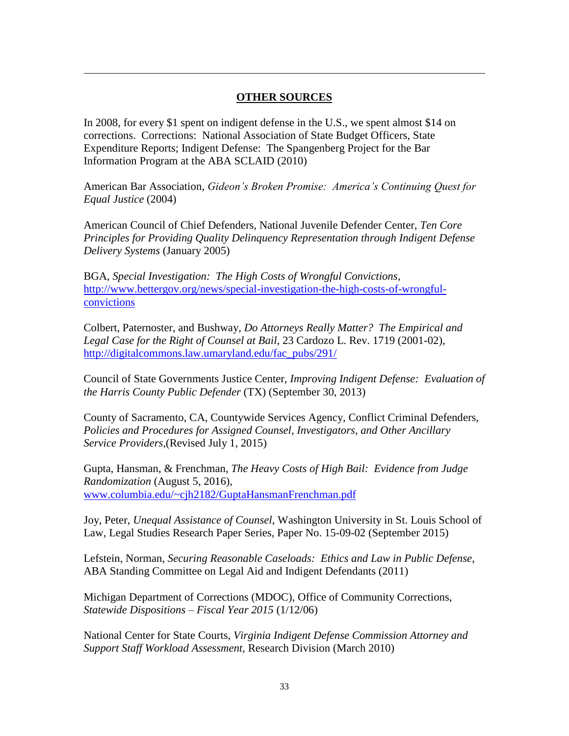## **OTHER SOURCES**

In 2008, for every \$1 spent on indigent defense in the U.S., we spent almost \$14 on corrections. Corrections: National Association of State Budget Officers, State Expenditure Reports; Indigent Defense: The Spangenberg Project for the Bar Information Program at the ABA SCLAID (2010)

 $\overline{a}$ 

American Bar Association, *Gideon's Broken Promise: America's Continuing Quest for Equal Justice* (2004)

American Council of Chief Defenders, National Juvenile Defender Center, *Ten Core Principles for Providing Quality Delinquency Representation through Indigent Defense Delivery Systems* (January 2005)

BGA, *Special Investigation: The High Costs of Wrongful Convictions*, [http://www.bettergov.org/news/special-investigation-the-high-costs-of-wrongful](http://www.bettergov.org/news/special-investigation-the-high-costs-of-wrongful-convictions)[convictions](http://www.bettergov.org/news/special-investigation-the-high-costs-of-wrongful-convictions)

Colbert, Paternoster, and Bushway, *Do Attorneys Really Matter? The Empirical and Legal Case for the Right of Counsel at Bail*, 23 Cardozo L. Rev. 1719 (2001-02), [http://digitalcommons.law.umaryland.edu/fac\\_pubs/291/](http://digitalcommons.law.umaryland.edu/fac_pubs/291/)

Council of State Governments Justice Center, *Improving Indigent Defense: Evaluation of the Harris County Public Defender* (TX) (September 30, 2013)

County of Sacramento, CA, Countywide Services Agency, Conflict Criminal Defenders, *Policies and Procedures for Assigned Counsel, Investigators, and Other Ancillary Service Providers,*(Revised July 1, 2015)

Gupta, Hansman, & Frenchman, *The Heavy Costs of High Bail: Evidence from Judge Randomization* (August 5, 2016), [www.columbia.edu/~cjh2182/GuptaHansmanFrenchman.pdf](http://www.columbia.edu/~cjh2182/GuptaHansmanFrenchman.pdf)

Joy, Peter, *Unequal Assistance of Counsel*, Washington University in St. Louis School of Law, Legal Studies Research Paper Series, Paper No. 15-09-02 (September 2015)

Lefstein, Norman, *Securing Reasonable Caseloads: Ethics and Law in Public Defense*, ABA Standing Committee on Legal Aid and Indigent Defendants (2011)

Michigan Department of Corrections (MDOC), Office of Community Corrections, *Statewide Dispositions – Fiscal Year 2015* (1/12/06)

National Center for State Courts, *Virginia Indigent Defense Commission Attorney and Support Staff Workload Assessment,* Research Division (March 2010)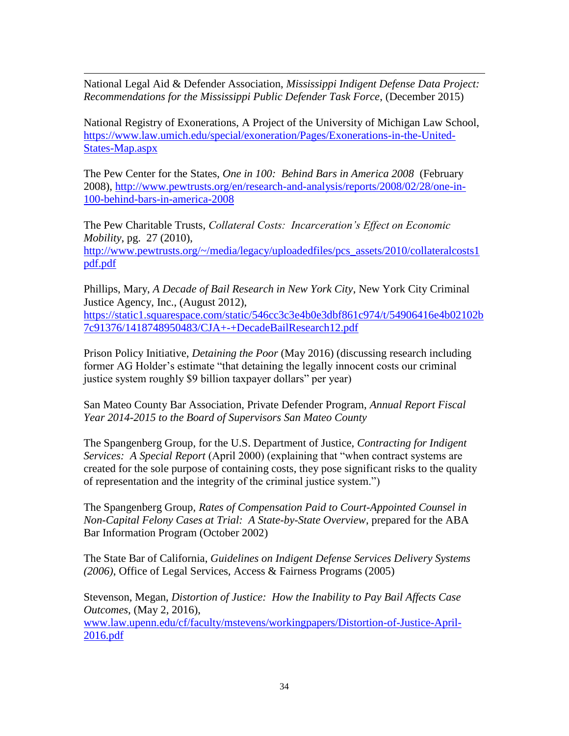National Legal Aid & Defender Association, *Mississippi Indigent Defense Data Project: Recommendations for the Mississippi Public Defender Task Force*, (December 2015)

 $\overline{a}$ 

National Registry of Exonerations, A Project of the University of Michigan Law School, [https://www.law.umich.edu/special/exoneration/Pages/Exonerations-in-the-United-](https://www.law.umich.edu/special/exoneration/Pages/Exonerations-in-the-United-States-Map.aspx)[States-Map.aspx](https://www.law.umich.edu/special/exoneration/Pages/Exonerations-in-the-United-States-Map.aspx)

The Pew Center for the States, *One in 100: Behind Bars in America 2008* (February 2008), [http://www.pewtrusts.org/en/research-and-analysis/reports/2008/02/28/one-in-](http://www.pewtrusts.org/en/research-and-analysis/reports/2008/02/28/one-in-100-behind-bars-in-america-2008)[100-behind-bars-in-america-2008](http://www.pewtrusts.org/en/research-and-analysis/reports/2008/02/28/one-in-100-behind-bars-in-america-2008)

The Pew Charitable Trusts, *Collateral Costs: Incarceration's Effect on Economic Mobility*, pg. 27 (2010), [http://www.pewtrusts.org/~/media/legacy/uploadedfiles/pcs\\_assets/2010/collateralcosts1](http://www.pewtrusts.org/~/media/legacy/uploadedfiles/pcs_assets/2010/collateralcosts1pdf.pdf) [pdf.pdf](http://www.pewtrusts.org/~/media/legacy/uploadedfiles/pcs_assets/2010/collateralcosts1pdf.pdf)

Phillips, Mary, *A Decade of Bail Research in New York City*, New York City Criminal Justice Agency, Inc., (August 2012), [https://static1.squarespace.com/static/546cc3c3e4b0e3dbf861c974/t/54906416e4b02102b](https://static1.squarespace.com/static/546cc3c3e4b0e3dbf861c974/t/54906416e4b02102b7c91376/1418748950483/CJA+-+DecadeBailResearch12.pdf) [7c91376/1418748950483/CJA+-+DecadeBailResearch12.pdf](https://static1.squarespace.com/static/546cc3c3e4b0e3dbf861c974/t/54906416e4b02102b7c91376/1418748950483/CJA+-+DecadeBailResearch12.pdf)

Prison Policy Initiative, *Detaining the Poor* (May 2016) (discussing research including former AG Holder's estimate "that detaining the legally innocent costs our criminal justice system roughly \$9 billion taxpayer dollars" per year)

San Mateo County Bar Association, Private Defender Program, *Annual Report Fiscal Year 2014-2015 to the Board of Supervisors San Mateo County*

The Spangenberg Group, for the U.S. Department of Justice, *Contracting for Indigent Services: A Special Report* (April 2000) (explaining that "when contract systems are created for the sole purpose of containing costs, they pose significant risks to the quality of representation and the integrity of the criminal justice system.")

The Spangenberg Group, *Rates of Compensation Paid to Court-Appointed Counsel in Non-Capital Felony Cases at Trial: A State-by-State Overview*, prepared for the ABA Bar Information Program (October 2002)

The State Bar of California, *Guidelines on Indigent Defense Services Delivery Systems (2006)*, Office of Legal Services, Access & Fairness Programs (2005)

Stevenson, Megan, *Distortion of Justice: How the Inability to Pay Bail Affects Case Outcomes*, (May 2, 2016),

[www.law.upenn.edu/cf/faculty/mstevens/workingpapers/Distortion-of-Justice-April-](http://www.law.upenn.edu/cf/faculty/mstevens/workingpapers/Distortion-of-Justice-April-2016.pdf)[2016.pdf](http://www.law.upenn.edu/cf/faculty/mstevens/workingpapers/Distortion-of-Justice-April-2016.pdf)